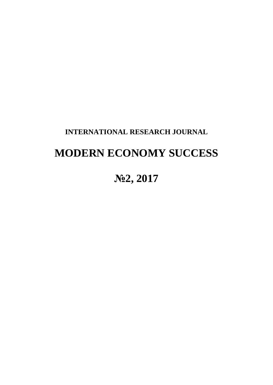# **INTERNATIONAL RESEARCH JOURNAL**

# **MODERN ECONOMY SUCCESS**

# **№2, 2017**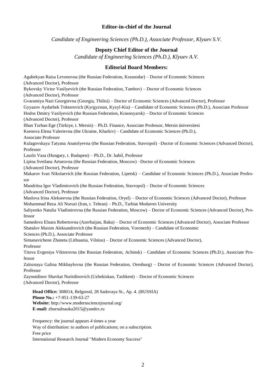### **Editor-in-chief of the Journal**

*Candidate of Engineering Sciences (Ph.D.), Associate Professor, Klyuev S.V.*

## **Deputy Chief Editor of the Journal**

*Candidate of Engineering Sciences (Ph.D.), Klyuev A.V.*

#### **Editorial Board Members:**

Agabekyan Raisa Levonovna (the Russian Federation, Krasnodar) – Doctor of Economic Sciences (Advanced Doctor), Professor Bykovsky Victor Vasilyevich (the Russian Federation, Tambov) – Doctor of Economic Sciences (Advanced Doctor), Professor Gvaramiya Nazi Georgievna (Georgia, Tbilisi) – Doctor of Economic Sciences (Advanced Doctor), Professor Gyyazov Aydarbek Toktorovich (Kyrgyzstan, Kyzyl-Kia) – Candidate of Economic Sciences (Ph.D.), Associate Professor Hodos Dmitry Vasilyevich (the Russian Federation, Krasnoyarsk) – Doctor of Economic Sciences (Advanced Doctor), Professor Ilhan Turhan Ege (Türkiye, t. Mersin) – Ph.D. Finance, Associate Professor, Mersin üniversitesi Ksenova Elena Valerievna (the Ukraine, Kharkiv) – Candidate of Economic Sciences (Ph.D.), Associate Professor Kulagovskaya Tatyana Anatolyevna (the Russian Federation, Stavropol) –Doctor of Economic Sciences (Advanced Doctor), Professor Laszlo Vasa (Hungary, t. Budapest) – Ph.D., Dr. habil, Professor Lipina Svetlana Arturovna (the Russian Federation, Moscow) –Doctor of Economic Sciences (Advanced Doctor), Professor Makarov Ivan Nikolaevich (the Russian Federation, Lipetsk) – Candidate of Economic Sciences (Ph.D.), Associate Professor Mandritsa Igor Vladimirovich (the Russian Federation, Stavropol) – Doctor of Economic Sciences (Advanced Doctor), Professor Maslova Irina Alekseevna (the Russian Federation, Oryel) – Doctor of Economic Sciences (Advanced Doctor), Professor Mohammad Reza Аli Noruzi (Iran, t. Tehran) – Ph.D., Tarbiat Modarres University Saliyenko Natalia Vladimirovna (the Russian Federation, Moscow) – Doctor of Economic Sciences (Advanced Doctor), Professor Samedova Elnara Robertovna (Azerbaijan, Baku) – Doctor of Economic Sciences (Advanced Doctor), Associate Professor Shatalov Maxim Aleksandrovich (the Russian Federation, Voronezh) – Candidate of Economic Sciences (Ph.D.), Associate Professor Simanavichene Zhaneta (Lithuania, Vilnius) – Doctor of Economic Sciences (Advanced Doctor), Professor Titova Evgeniya Viktorovna (the Russian Federation, Achinsk) – Candidate of Economic Sciences (Ph.D.), Associate Professor Zaloznaya Galina Mikhaylovna (the Russian Federation, Orenburg) – Doctor of Economic Sciences (Advanced Doctor), Professor Zaynutdinov Shavkat Nuritdinovich (Uzbekiskan, Tashkent) – Doctor of Economic Sciences (Advanced Doctor), Professor **Head Office:** 308014, Belgorod, 28 Sadovaya St., Ap. 4. (RUSSIA) **Phone No.:** +7-951-139-63-27 **Website:** http://www.modernsciencejournal.org/ **E-mail:** zhurnalnauka2015@yandex.ru

Frequency: the journal appears 4 times a year Way of distribution: to authors of publications; on a subscription. Free price International Research Journal "Modern Economy Success"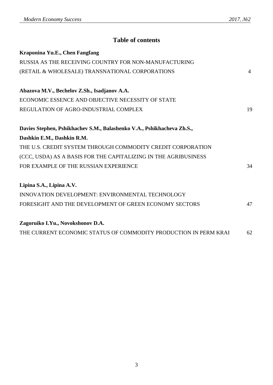# **Table of contents**

| Kraponina Yu.E., Chen Fangfang                                         |                |
|------------------------------------------------------------------------|----------------|
| RUSSIA AS THE RECEIVING COUNTRY FOR NON-MANUFACTURING                  |                |
| (RETAIL & WHOLESALE) TRANSNATIONAL CORPORATIONS                        | $\overline{4}$ |
| Abazova M.V., Bechelov Z.Sh., Isadjanov A.A.                           |                |
| ECONOMIC ESSENCE AND OBJECTIVE NECESSITY OF STATE                      |                |
| REGULATION OF AGRO-INDUSTRIAL COMPLEX                                  | 19             |
| Davies Stephen, Pshikhachev S.M., Balashenko V.A., Pshikhacheva Zh.S., |                |
| Dashkin E.M., Dashkin R.M.                                             |                |
| THE U.S. CREDIT SYSTEM THROUGH COMMODITY CREDIT CORPORATION            |                |
| (CCC, USDA) AS A BASIS FOR THE CAPITALIZING IN THE AGRIBUSINESS        |                |
| FOR EXAMPLE OF THE RUSSIAN EXPERIENCE                                  | 34             |
| Lipina S.A., Lipina A.V.                                               |                |
| <b>INNOVATION DEVELOPMENT: ENVIRONMENTAL TECHNOLOGY</b>                |                |
| FORESIGHT AND THE DEVELOPMENT OF GREEN ECONOMY SECTORS                 | 47             |
| Zagoruiko I.Yu., Novokshonov D.A.                                      |                |
| THE CURRENT ECONOMIC STATUS OF COMMODITY PRODUCTION IN PERM KRAI       | 62             |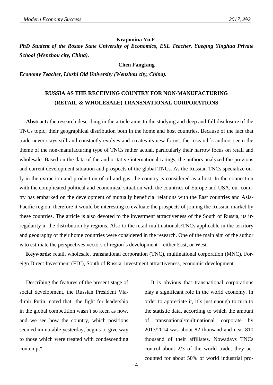#### **Kraponina Yu.E.**

*PhD Student of the Rostov State University of Economics, ESL Teacher, Yueqing Yinghua Private School (Wenzhou city, China).*

#### **Chen Fangfang**

*Economy Teacher, Liushi Old University (Wenzhou city, China).*

## **RUSSIA AS THE RECEIVING COUNTRY FOR NON-MANUFACTURING (RETAIL & WHOLESALE) TRANSNATIONAL CORPORATIONS**

**Abstract:** the research describing in the article aims to the studying and deep and full disclosure of the TNCs topic; their geographical distribution both in the home and host countries. Because of the fact that trade never stays still and constantly evolves and creates its new forms, the research`s authors seem the theme of the non-manufacturing type of TNCs rather actual, particularly their narrow focus on retail and wholesale. Based on the data of the authoritative international ratings, the authors analyzed the previous and current development situation and prospects of the global TNCs. As the Russian TNCs specialize only in the extraction and production of oil and gas, the country is considered as a host. In the connection with the complicated political and economical situation with the countries of Europe and USA, our country has embarked on the development of mutually beneficial relations with the East countries and Asia-Pacific region; therefore it would be interesting to evaluate the prospects of joining the Russian market by these countries. The article is also devoted to the investment attractiveness of the South of Russia, its irregularity in the distribution by regions. Also to the retail multinationals/TNCs applicable in the territory and geography of their home countries were considered in the research. One of the main aim of the author is to estimate the perspectives vectors of region`s development – either East, or West.

**Keywords:** retail, wholesale, transnational corporation (TNC), multinational corporation (MNC), Foreign Direct Investment (FDI), South of Russia, investment attractiveness, economic development

Describing the features of the present stage of social development, the Russian President Vladimir Putin, noted that "the fight for leadership in the global competition wasn`t so keen as now, and we see how the country, which positions seemed immutable yesterday, begins to give way to those which were treated with condescending contempt".

It is obvious that transnational corporations play a significant role in the world economy. In order to appreciate it, it`s just enough to turn to the statistic data, according to which the amount of transnational/multinational corporate by 2013/2014 was about 82 thousand and near 810 thousand of their affiliates. Nowadays TNCs control about 2/3 of the world trade, they accounted for about 50% of world industrial pro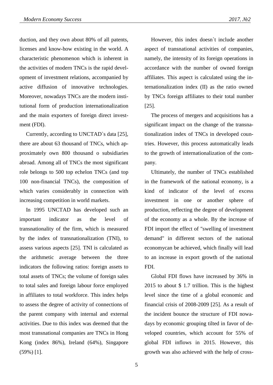duction, and they own about 80% of all patents, licenses and know-how existing in the world. A characteristic phenomenon which is inherent in the activities of modern TNCs is the rapid development of investment relations, accompanied by active diffusion of innovative technologies. Moreover, nowadays TNCs are the modern institutional form of production internationalization and the main exporters of foreign direct investment (FDI).

Currently, according to UNCTAD`s data [25], there are about 63 thousand of TNCs, which approximately own 800 thousand o subsidiaries abroad. Among all of TNCs the most significant role belongs to 500 top echelon TNCs (and top 100 non-financial TNCs), the composition of which varies considerably in connection with increasing competition in world markets.

In 1995 UNCTAD has developed such an important indicator as the level of transnationality of the firm, which is measured by the index of transnationalization (TNI), to assess various aspects [25]. TNI is calculated as the arithmetic average between the three indicators the following ratios: foreign assets to total assets of TNCs; the volume of foreign sales to total sales and foreign labour force employed in affiliates to total workforce. This index helps to assess the degree of activity of connections of the parent company with internal and external activities. Due to this index was deemed that the most transnational companies are TNCs in Hong Kong (index 86%), Ireland (64%), Singapore (59%) [1].

However, this index doesn`t include another aspect of transnational activities of companies, namely, the intensity of its foreign operations in accordance with the number of owned foreign affiliates. This aspect is calculated using the internationalization index (II) as the ratio owned by TNCs foreign affiliates to their total number [25].

The process of mergers and acquisitions has a significant impact on the change of the transnationalization index of TNCs in developed countries. However, this process automatically leads to the growth of internationalization of the company.

Ultimately, the number of TNCs established in the framework of the national economy, is a kind of indicator of the level of excess investment in one or another sphere of production, reflecting the degree of development of the economy as a whole. By the increase of FDI import the effect of "swelling of investment demand" in different sectors of the national economycan be achieved, which finally will lead to an increase in export growth of the national FDI.

Global FDI flows have increased by 36% in 2015 to about \$ 1.7 trillion. This is the highest level since the time of a global economic and financial crisis of 2008-2009 [25]. As a result of the incident bounce the structure of FDI nowadays by economic grouping tilted in favor of developed countries, which account for 55% of global FDI inflows in 2015. However, this growth was also achieved with the help of cross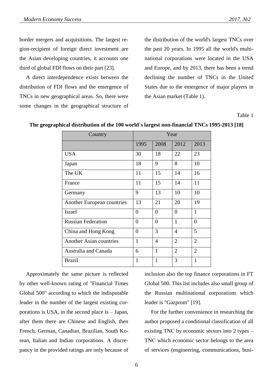border mergers and acquisitions. The largest region-recipient of foreign direct investment are the Asian developing countries, it accounts one third of global FDI flows on their part [23].

A direct interdependence exists between the distribution of FDI flows and the emergence of TNCs in new geographical areas. So, there were some changes in the geographical structure of the distribution of the world's largest TNCs over the past 20 years. In 1995 all the world's multinational corporations were located in the USA and Europe, and by 2013, there has been a trend declining the number of TNCs in the United States due to the emergence of major players in the Asian market (Table 1).

Table 1

| Country                        | Year             |                |                |                |  |  |
|--------------------------------|------------------|----------------|----------------|----------------|--|--|
|                                | 1995             | 2008           | 2012           | 2013           |  |  |
| <b>USA</b>                     | 30               | 18             | 22             | 23             |  |  |
| Japan                          | 18               | 9              | 8              | 10             |  |  |
| The UK                         | 11               | 15             | 14             | 16             |  |  |
| France                         | 11               | 15             | 14             | 11             |  |  |
| Germany                        | 9                | 13             | 10             | 10             |  |  |
| Another European countries     | 13               | 21             | 20             | 19             |  |  |
| <b>Israel</b>                  | $\boldsymbol{0}$ | $\overline{0}$ | $\theta$       | $\mathbf{1}$   |  |  |
| <b>Russian Federation</b>      | $\overline{0}$   | $\theta$       | 1              | $\overline{0}$ |  |  |
| China and Hong Kong            | $\overline{0}$   | 3              | $\overline{4}$ | 5              |  |  |
| <b>Another Asian countries</b> | 1                | 4              | $\overline{2}$ | $\overline{2}$ |  |  |
| Australia and Canada           | 6                | $\mathbf{1}$   | $\overline{2}$ | $\overline{2}$ |  |  |
| <b>Brazil</b>                  | 1                | $\mathbf{1}$   | 3              | $\mathbf{1}$   |  |  |

**The geographical distribution of the 100 world`s largest non-financial TNCs 1995-2013 [18]**

Approximately the same picture is reflected by other well-known rating of "Financial Times Global 500" according to which the indisputable leader in the number of the largest existing corporations is USA, in the second place is – Japan, after them there are Chinese and English, then French, German, Canadian, Brazilian, South Korean, Italian and Indian corporations. A discrepancy in the provided ratings are only because of inclusion also the top finance corporations in FT Global 500. This list includes also small group of the Russian multinational corporations which leader is "Gazprom" [19].

For the further convenience in researching the author proposed a conditional classification of all existing TNС by economic sectors into 2 types – TNС which economic sector belongs to the area of services (engineering, communications, busi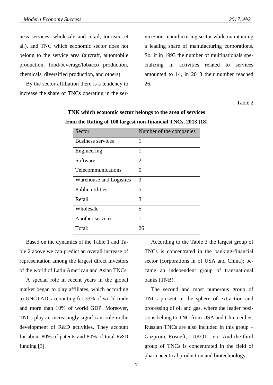ness services, wholesale and retail, tourism, et al.), and TNС which economic sector does not belong to the service area (aircraft, automobile production, food/beverage/tobacco production, chemicals, diversified production, and others).

By the sector affiliation there is a tendency to increase the share of TNCs operating in the service/non-manufacturing sector while maintaining a leading share of manufacturing corporations. So, if in 1993 the number of multinationals specializing in activities related to services amounted to 14, in 2013 their number reached 26.

Table 2

| Sector                   | Number of the companies |
|--------------------------|-------------------------|
| <b>Business services</b> | 1                       |
| Engineering              | 1                       |
| Software                 | $\overline{2}$          |
| Telecommunications       | 5                       |
| Warehouse and Logistics  | 3                       |
| Public utilities         | 5                       |
| Retail                   | 3                       |
| Wholesale                | 5                       |
| Another services         | 1                       |
| Total:                   | 26                      |

## **TNK which economic sector belongs to the area of services from the Rating of 100 largest non-financial TNCs, 2013 [18]**

Based on the dynamics of the Table 1 and Table 2 above we can predict an overall increase of representation among the largest direct investors of the world of Latin American and Asian TNCs.

A special role in recent years in the global market began to play affiliates, which according to UNCTAD, accounting for 33% of world trade and more than 10% of world GDP. Moreover, TNCs play an increasingly significant role in the development of R&D activities. They account for about 80% of patents and 80% of total R&D funding [3].

According to the Table 3 the largest group of TNCs is concentrated in the banking-financial sector (corporations in of USA and China); became an independent group of transnational banks (TNB).

The second and most numerous group of TNCs present in the sphere of extraction and processing of oil and gas, where the leader positions belong to TNC from USA and China either. Russian TNCs are also included in this group – Gazprom, Rosneft, LUKOIL, etc. And the third group of TNCs is concentrated in the field of pharmaceutical production and biotechnology.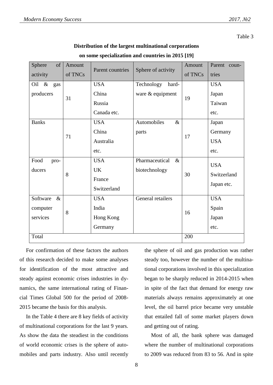#### Table 3

| Distribution of the largest multinational corporations |  |  |
|--------------------------------------------------------|--|--|
|--------------------------------------------------------|--|--|

| Sphere<br>of<br>activity | Amount<br>of TNCs | Parent countries | Sphere of activity     | Amount<br>of TNCs | Parent coun-<br>tries |
|--------------------------|-------------------|------------------|------------------------|-------------------|-----------------------|
| Oil &<br>gas             |                   | <b>USA</b>       | Technology<br>hard-    |                   | <b>USA</b>            |
| producers                | 31                | China            | ware & equipment       | 19                | Japan                 |
|                          |                   | Russia           |                        |                   | Taiwan                |
|                          |                   | Canada etc.      |                        |                   | etc.                  |
| <b>Banks</b>             |                   | <b>USA</b>       | Automobiles<br>$\&$    |                   | Japan                 |
|                          | 71                | China            | parts                  | 17                | Germany               |
|                          |                   | Australia        |                        |                   | <b>USA</b>            |
|                          |                   | etc.             |                        |                   | etc.                  |
| Food<br>pro-             |                   | <b>USA</b>       | Pharmaceutical<br>$\&$ |                   | <b>USA</b>            |
| ducers                   | 8                 | <b>UK</b>        | biotechnology          |                   | Switzerland           |
|                          |                   | France           |                        | 30                |                       |
|                          |                   | Switzerland      |                        |                   | Japan etc.            |
| $\&$<br>Software         |                   | <b>USA</b>       | General retailers      |                   | <b>USA</b>            |
| computer                 | 8                 | India            |                        | 16                | Spain                 |
| services                 |                   | Hong Kong        |                        |                   | Japan                 |
|                          |                   | Germany          |                        |                   | etc.                  |
| Total                    |                   |                  |                        | 200               |                       |

|                  |    | Canada etc.                                   |                                    |      |     | etc       |
|------------------|----|-----------------------------------------------|------------------------------------|------|-----|-----------|
| <b>Banks</b>     |    | <b>USA</b>                                    | Automobiles                        | $\&$ |     | Jap       |
|                  | 71 | China<br>parts                                |                                    |      |     | Ge:       |
|                  |    | Australia                                     |                                    |      | 17  | <b>US</b> |
|                  |    | etc.                                          |                                    |      |     | etc       |
| Food<br>pro-     |    | <b>USA</b>                                    | Pharmaceutical                     | $\&$ |     | <b>US</b> |
| ducers           | 8  | <b>UK</b>                                     | biotechnology                      |      | 30  | Sw        |
|                  |    | France                                        |                                    |      |     |           |
|                  |    | Switzerland                                   |                                    |      |     | Jap       |
| Software<br>$\&$ |    | <b>USA</b>                                    | General retailers                  |      |     | <b>US</b> |
| computer         | 8  | India                                         |                                    |      | 16  | Spa       |
| services         |    | Hong Kong                                     |                                    |      |     | Jap       |
|                  |    | Germany                                       |                                    |      |     | etc       |
| Total            |    |                                               |                                    |      | 200 |           |
|                  |    | For confirmation of these factors the authors | the sphere of oil and gas product  |      |     |           |
|                  |    | this research decided to make some analyses   | steady too, however the number     |      |     |           |
|                  |    | r identification of the most attractive and   | tional corporations involved in th |      |     |           |

**on some specialization and countries in 2015 [19]**

of this research decided to make some analyses for identification of the most attractive and steady against economic crises industries in dynamics, the same international rating of Financial Times Global 500 for the period of 2008- 2015 became the basis for this analysis.

In the Table 4 there are 8 key fields of activity of multinational corporations for the last 9 years. As show the data the steadiest in the conditions of world economic crises is the sphere of automobiles and parts industry. Also until recently

ction was rather of the multinanis specialization began to be sharply reduced in 2014-2015 when in spite of the fact that demand for energy raw materials always remains approximately at one level, the oil barrel price became very unstable that entailed fall of some market players down and getting out of rating.

Most of all, the bank sphere was damaged where the number of multinational corporations to 2009 was reduced from 83 to 56. And in spite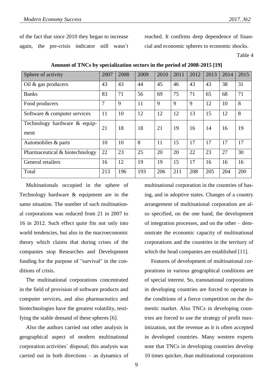of the fact that since 2010 they began to increase again, the pre-crisis indicator still wasn`t reached. It confirms deep dependence of financial and economic spheres to economic shocks.

Table 4

| Sphere of activity                   | 2007 | 2008 | 2009 | 2010 | 2011 | 2012 | 2013 | 2014 | 2015 |
|--------------------------------------|------|------|------|------|------|------|------|------|------|
| Oil $\&$ gas producers               | 43   | 43   | 44   | 45   | 46   | 43   | 43   | 38   | 31   |
| <b>Banks</b>                         | 83   | 71   | 56   | 69   | 75   | 71   | 65   | 68   | 71   |
| Food producers                       | 7    | 9    | 11   | 9    | 9    | 9    | 12   | 10   | 8    |
| Software & computer services         | 11   | 10   | 12   | 12   | 12   | 13   | 15   | 12   | 8    |
| Technology hardware & equip-<br>ment | 21   | 18   | 18   | 21   | 19   | 16   | 14   | 16   | 19   |
| Automobiles & parts                  | 10   | 10   | 8    | 11   | 15   | 17   | 17   | 17   | 17   |
| Pharmaceutical & biotechnology       | 22   | 23   | 25   | 20   | 20   | 22   | 23   | 27   | 30   |
| General retailers                    | 16   | 12   | 19   | 19   | 15   | 17   | 16   | 16   | 16   |
| Total                                | 213  | 196  | 193  | 206  | 211  | 208  | 205  | 204  | 200  |

**Amount of TNCs by specialization sectors in the period of 2008-2015 [19]**

Multinationals occupied in the sphere of Technology hardware & equipment are in the same situation. The number of such multinational corporations was reduced from 21 in 2007 to 16 in 2012. Such effect quite fits not only into world tendencies, but also in the macroeconomic theory which claims that during crises of the companies stop Researches and Development funding for the purpose of "survival" in the conditions of crisis.

The multinational corporations concentrated in the field of provision of software products and computer services, and also pharmaceutics and biotechnologies have the greatest volatility, testifying the stable demand of these spheres [6].

Also the authors carried out other analysis in geographical aspect of modern multinational corporation activities` disposal; this analysis was carried out in both directions – as dynamics of multinational corporation in the countries of basing, and in adoptive states. Changes of a country arrangement of multinational corporation are also specified, on the one hand, the development of integration processes, and on the other – demonstrate the economic capacity of multinational corporations and the countries in the territory of which the head companies are established [11].

Features of development of multinational corporations in various geographical conditions are of special interest. So, transnational corporations in developing countries are forced to operate in the conditions of a fierce competition on the domestic market. Also TNCs in developing countries are forced to use the strategy of profit maximization, not the revenue as it is often accepted in developed countries. Many western experts note that TNCs in developing countries develop 10 times quicker, than multinational corporations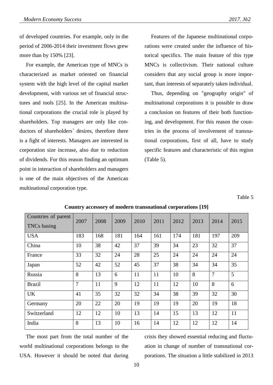of developed countries. For example, only in the period of 2006-2014 their investment flows grew more than by 150% [23].

For example, the American type of MNCs is characterized as market oriented on financial system with the high level of the capital market development, with various set of financial structures and tools [25]. In the American multinational corporations the crucial role is played by shareholders. Top managers are only like conductors of shareholders` desires, therefore there is a fight of interests. Managers are interested in corporation size increase, also due to reduction of dividends. For this reason finding an optimum point in interaction of shareholders and managers is one of the main objectives of the American multinational corporation type.

Features of the Japanese multinational corporations were created under the influence of historical specifics. The main feature of this type MNCs is collectivism. Their national culture considers that any social group is more important, than interests of separately taken individual.

Thus, depending on "geography origin" of multinational corporations it is possible to draw a conclusion on features of their both functioning, and development. For this reason the countries in the process of involvement of transnational corporations, first of all, have to study specific features and characteristic of this region (Table 5).

Table 5

| Countries of parent<br><b>TNCs</b> basing | 2007           | 2008 | 2009 | 2010 | 2011 | 2012 | 2013 | 2014           | 2015 |
|-------------------------------------------|----------------|------|------|------|------|------|------|----------------|------|
| <b>USA</b>                                | 183            | 168  | 181  | 164  | 161  | 174  | 181  | 197            | 209  |
| China                                     | 10             | 38   | 42   | 37   | 39   | 34   | 23   | 32             | 37   |
| France                                    | 33             | 32   | 24   | 28   | 25   | 24   | 24   | 24             | 24   |
| Japan                                     | 52             | 42   | 52   | 45   | 37   | 38   | 34   | 34             | 35   |
| Russia                                    | 8              | 13   | 6    | 11   | 11   | 10   | 8    | $\overline{7}$ | 5    |
| <b>Brazil</b>                             | $\overline{7}$ | 11   | 9    | 12   | 11   | 12   | 10   | 8              | 6    |
| <b>UK</b>                                 | 41             | 35   | 32   | 32   | 34   | 38   | 39   | 32             | 30   |
| Germany                                   | 20             | 22   | 20   | 19   | 19   | 19   | 20   | 19             | 18   |
| Switzerland                               | 12             | 12   | 10   | 13   | 14   | 15   | 13   | 12             | 11   |
| India                                     | 8              | 13   | 10   | 16   | 14   | 12   | 12   | 12             | 14   |

## **Country accessory of modern transnational corporations [19]**

The most part from the total number of the world multinational corporations belongs to the USA. However it should be noted that during crisis they showed essential reducing and fluctuation in change of number of transnational corporations. The situation a little stabilized in 2013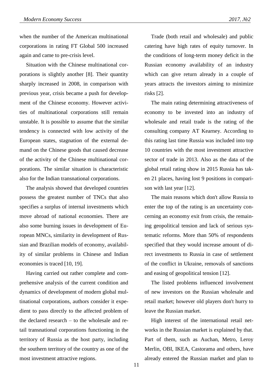when the number of the American multinational corporations in rating FT Global 500 increased again and came to pre-crisis level.

Situation with the Chinese multinational corporations is slightly another [8]. Their quantity sharply increased in 2008, in comparison with previous year, crisis became a push for development of the Chinese economy. However activities of multinational corporations still remain unstable. It is possible to assume that the similar tendency is connected with low activity of the European states, stagnation of the external demand on the Chinese goods that caused decrease of the activity of the Chinese multinational corporations. The similar situation is characteristic also for the Indian transnational corporations.

The analysis showed that developed countries possess the greatest number of TNCs that also specifies a surplus of internal investments which move abroad of national economies. There are also some burning issues in development of European MNCs, similarity in development of Russian and Brazilian models of economy, availability of similar problems in Chinese and Indian economies is traced [10, 19].

Having carried out rather complete and comprehensive analysis of the current condition and dynamics of development of modern global multinational corporations, authors consider it expedient to pass directly to the affected problem of the declared research – to the wholesale and retail transnational corporations functioning in the territory of Russia as the host party, including the southern territory of the country as one of the most investment attractive regions.

Trade (both retail and wholesale) and public catering have high rates of equity turnover. In the conditions of long-term money deficit in the Russian economy availability of an industry which can give return already in a couple of years attracts the investors aiming to minimize risks [2].

The main rating determining attractiveness of economy to be invested into an industry of wholesale and retail trade is the rating of the consulting company AT Kearney. According to this rating last time Russia was included into top 10 countries with the most investment attractive sector of trade in 2013. Also as the data of the global retail rating show in 2015 Russia has taken 21 places, having lost 9 positions in comparison with last year [12].

The main reasons which don't allow Russia to enter the top of the rating is an uncertainty concerning an economy exit from crisis, the remaining geopolitical tension and lack of serious systematic reforms. More than 50% of respondents specified that they would increase amount of direct investments to Russia in case of settlement of the conflict in Ukraine, removals of sanctions and easing of geopolitical tension [12].

The listed problems influenced involvement of new investors on the Russian wholesale and retail market; however old players don't hurry to leave the Russian market.

High interest of the international retail networks in the Russian market is explained by that. Part of them, such as Auchan, Metro, Leroy Merlin, OBI, IKEA, Castorama and others, have already entered the Russian market and plan to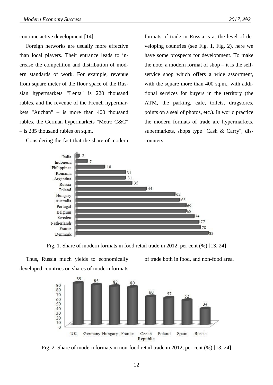continue active development [14].

Foreign networks are usually more effective than local players. Their entrance leads to increase the competition and distribution of modern standards of work. For example, revenue from square meter of the floor space of the Russian hypermarkets "Lenta" is 220 thousand rubles, and the revenue of the French hypermarkets "Auchan" – is more than 400 thousand rubles, the German hypermarkets "Metro C&C" – is 285 thousand rubles on sq.m.

Considering the fact that the share of modern

formats of trade in Russia is at the level of developing countries (see Fig. 1, Fig. 2), here we have some prospects for development. To make the note, a modern format of shop  $-$  it is the selfservice shop which offers a wide assortment, with the square more than 400 sq.m., with additional services for buyers in the territory (the ATM, the parking, cafe, toilets, drugstores, points on a seal of photos, etc.). In world practice the modern formats of trade are hypermarkets, supermarkets, shops type "Cash & Carry", discounters.



Fig. 1. Share of modern formats in food retail trade in 2012, per cent (%) [13, 24]

Thus, Russia much yields to economically developed countries on shares of modern formats of trade both in food, and non-food area.



Fig. 2. Share of modern formats in non-food retail trade in 2012, per cent (%) [13, 24]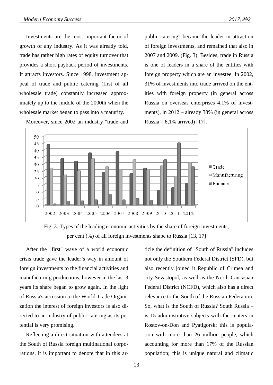Investments are the most important factor of growth of any industry. As it was already told, trade has rather high rates of equity turnover that provides a short payback period of investments. It attracts investors. Since 1998, investment appeal of trade and public catering (first of all wholesale trade) constantly increased approximately up to the middle of the 2000th when the wholesale market began to pass into a maturity.

Moreover, since 2002 an industry "trade and

public catering" became the leader in attraction of foreign investments, and remained that also in 2007 and 2009. (Fig. 3). Besides, trade in Russia is one of leaders in a share of the entities with foreign property which are an investee. In 2002, 31% of investments into trade arrived on the entities with foreign property (in general across Russia on overseas enterprises 4,1% of investments), in 2012 – already 38% (in general across Russia –  $6,1\%$  arrived) [17].





After the "first" wave of a world economic crisis trade gave the leader`s way in amount of foreign investments to the financial activities and manufacturing productions, however in the last 3 years its share began to grow again. In the light of Russia's accession to the World Trade Organization the interest of foreign investors is also directed to an industry of public catering as its potential is very promising.

Reflecting a direct situation with attendees at the South of Russia foreign multinational corporations, it is important to denote that in this article the definition of "South of Russia" includes not only the Southern Federal District (SFD), but also recently joined it Republic of Crimea and city Sevastopol, as well as the North Caucasian Federal District (NCFD), which also has a direct relevance to the South of the Russian Federation. So, what is the South of Russia? South Russia – is 15 administrative subjects with the centers in Rostov-on-Don and Pyatigorsk; this is population with more than 26 million people, which accounting for more than 17% of the Russian population; this is unique natural and climatic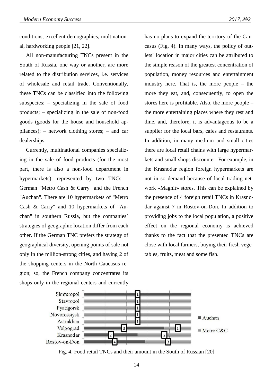conditions, excellent demographics, multinational, hardworking people [21, 22].

All non-manufacturing TNCs present in the South of Russia, one way or another, are more related to the distribution services, i.e. services of wholesale and retail trade. Conventionally, these TNCs can be classified into the following subspecies: – specializing in the sale of food products; – specializing in the sale of non-food goods (goods for the house and household appliances); – network clothing stores; – and car dealerships.

Currently, multinational companies specializing in the sale of food products (for the most part, there is also a non-food department in hypermarkets), represented by two TNCs – German "Metro Cash & Carry" and the French "Auchan". There are 10 hypermarkets of "Metro Cash & Carry" and 10 hypermarkets of "Auchan" in southern Russia, but the companies` strategies of geographic location differ from each other. If the German TNC prefers the strategy of geographical diversity, opening points of sale not only in the million-strong cities, and having 2 of the shopping centers in the North Caucasus region; so, the French company concentrates its shops only in the regional centers and currently

has no plans to expand the territory of the Caucasus (Fig. 4). In many ways, the policy of outlets` location in major cities can be attributed to the simple reason of the greatest concentration of population, money resources and entertainment industry here. That is, the more people – the more they eat, and, consequently, to open the stores here is profitable. Also, the more people – the more entertaining places where they rest and dine, and, therefore, it is advantageous to be a supplier for the local bars, cafes and restaurants. In addition, in many medium and small cities there are local retail chains with large hypermarkets and small shops discounter. For example, in the Krasnodar region foreign hypermarkets are not in so demand because of local trading network «Magnit» stores. This can be explained by the presence of 4 foreign retail TNCs in Krasnodar against 7 in Rostov-on-Don. In addition to providing jobs to the local population, a positive effect on the regional economy is achieved thanks to the fact that the presented TNСs are close with local farmers, buying their fresh vegetables, fruits, meat and some fish.



Fig. 4. Food retail TNCs and their amount in the South of Russian [20]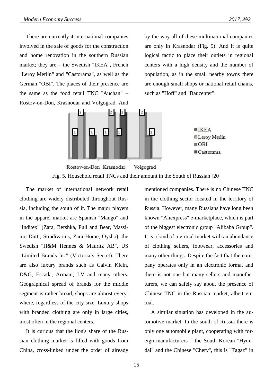There are currently 4 international companies involved in the sale of goods for the construction and home renovation in the southern Russian market; they are – the Swedish "IKEA", French "Leroy Merlin" and "Castorama", as well as the German "OBI". The places of their presence are the same as the food retail TNC "Auchan" – Rostov-on-Don, Krasnodar and Volgograd. And



by the way all of these multinational companies are only in Krasnodar (Fig. 5). And it is quite logical tactic to place their outlets in regional centers with a high density and the number of population, as in the small nearby towns there are enough small shops or national retail chains, such as "Hoff" and "Baucenter".

 $IKEA$ 

 $\overline{ORI}$ 

**ELeroy Merlin** 

 $\blacksquare$ Castorama



The market of international network retail clothing are widely distributed throughout Russia, including the south of it. The major players in the apparel market are Spanish "Mango" and "Inditex" (Zara, Bershka, Pull and Bear, Massimo Dutti, Stradivarius, Zara Home, Oysho), the Swedish "H&M Hennes & Mauritz AB", US "Limited Brands Inc" (Victoria`s Secret). There are also luxury brands such as Calvin Klein, D&G, Escada, Armani, LV and many others. Geographical spread of brands for the middle segment is rather broad, shops are almost everywhere, regardless of the city size. Luxury shops with branded clothing are only in large cities, most often in the regional centers.

It is curious that the lion's share of the Russian clothing market is filled with goods from China, cross-linked under the order of already mentioned companies. There is no Chinese TNC in the clothing sector located in the territory of Russia. However, many Russians have long been known "Aliexpress" e-marketplace, which is part of the biggest electronic group "Alibaba Group". It is a kind of a virtual market with an abundance of clothing sellers, footwear, accessories and many other things. Despite the fact that the company operates only in an electronic format and there is not one but many sellers and manufacturers, we can safely say about the presence of Chinese TNC in the Russian market, albeit virtual.

A similar situation has developed in the automotive market. In the south of Russia there is only one automobile plant, cooperating with foreign manufacturers – the South Korean "Hyundai" and the Chinese "Chery", this is "Tagaz" in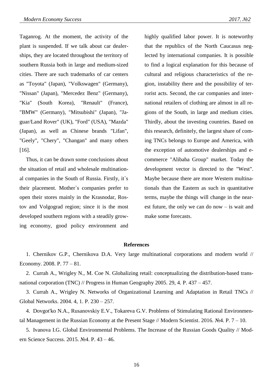Taganrog. At the moment, the activity of the plant is suspended. If we talk about car dealerships, they are located throughout the territory of southern Russia both in large and medium-sized cities. There are such trademarks of car centers as "Toyota" (Japan), "Volkswagen" (Germany), "Nissan" (Japan), "Mercedez Benz" (Germany), "Kia" (South Korea), "Renault" (France), "BMW" (Germany), "Mitsubishi" (Japan), "Jaguar/Land Rover" (UK), "Ford" (USA), "Mazda" (Japan), as well as Chinese brands "Lifan", "Geely", "Chery", "Changan" and many others [16].

Thus, it can be drawn some conclusions about the situation of retail and wholesale multinational companies in the South of Russia. Firstly, it`s their placement. Mother`s companies prefer to open their stores mainly in the Krasnodar, Rostov and Volgograd region; since it is the most developed southern regions with a steadily growing economy, good policy environment and

highly qualified labor power. It is noteworthy that the republics of the North Caucasus neglected by international companies. It is possible to find a logical explanation for this because of cultural and religious characteristics of the region, instability there and the possibility of terrorist acts. Second, the car companies and international retailers of clothing are almost in all regions of the South, in large and medium cities. Thirdly, about the investing countries. Based on this research, definitely, the largest share of coming TNCs belongs to Europe and America, with the exception of automotive dealerships and ecommerce "Alibaba Group" market. Today the development vector is directed to the "West". Maybe because there are more Western multinationals than the Eastern as such in quantitative terms, maybe the things will change in the nearest future, the only we can do now – is wait and make some forecasts.

#### **References**

1. Chernikov G.P., Chernikova D.A. Very large multinational corporations and modern world // Economy. 2008. P. 77 – 81.

2. Currah A., Wrigley N., M. Coe N. Globalizing retail: conceptualizing the distribution-based transnational corporation (TNC) // Progress in Human Geography 2005. 29, 4. P. 437 – 457.

3. Currah A., Wrigley N. Networks of Organizational Learning and Adaptation in Retail TNCs // Global Networks. 2004. 4, 1. P. 230 – 257.

4. Dovgot'ko N.A., Rusanovskiy E.V., Tokareva G.V. Problems of Stimulating Rational Environmental Management in the Russian Economy at the Present Stage // Modern Scientist. 2016. №4. P. 7 – 10.

5. Ivanova I.G. Global Environmental Problems. The Increase of the Russian Goods Quality // Modern Science Success. 2015. №4. P. 43 – 46.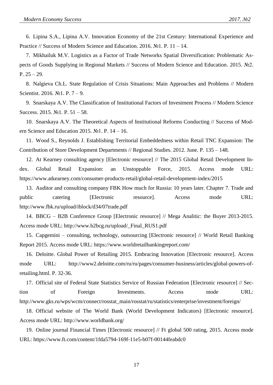6. Lipina S.A., Lipina A.V. Innovation Economy of the 21st Century: International Experience and Practice // Success of Modern Science and Education. 2016. №1. P. 11 – 14.

7. Mikhailuk M.V. Logistics as a Factor of Trade Networks Spatial Diversification: Problematic Aspects of Goods Supplying in Regional Markets // Success of Modern Science and Education. 2015. №2. P.  $25 - 29$ .

8. Nalgieva Ch.L. State Regulation of Crisis Situations: Main Approaches and Problems // Modern Scientist. 2016. №1. P. 7 – 9.

9. Snarskaya A.V. The Classification of Institutional Factors of Investment Process // Modern Science Success. 2015. №1. P. 51 – 58.

10. Snarskaya A.V. The Theoretical Aspects of Institutional Reforms Conducting // Success of Modern Science and Education 2015.  $N_2$ 1. P. 14 – 16.

11. Wood S., Reynolds J. Establishing Territorial Embeddedness within Retail TNC Expansion: The Contribution of Store Development Departments // Regional Studies. 2012. June. P. 135 – 148.

12. At Kearney consulting agency [Electronic resource] // The 2015 Global Retail Development Index. Global Retail Expansion: an Unstoppable Force, 2015. Access mode URL: https://www.atkearney.com/consumer-products-retail/global-retail-development-index/2015

13. Auditor and consulting company FBK How much for Russia: 10 years later. Chapter 7. Trade and public catering [Electronic resource]. Access mode URL: <http://www.fbk.ru/upload/iblock/d34/07trade.pdf>

14. BBCG – B2B Conference Group [Electronic resource] // Mega Analitic: the Buyer 2013-2015. Access mode URL: [http://www.b2bcg.ru/upload/\\_Final\\_RUS1.pdf](http://www.b2bcg.ru/upload/_Final_RUS1.pdf)

15. Capgemini – consulting, technology, outsourcing [Electronic resource] // World Retail Banking Report 2015. Access mode URL: https://www.worldretailbankingreport.com/

16. Deloitte. Global Power of Retailing 2015. Embracing Innovation [Electronic resource]. Access mode URL: [http://www2.deloitte.com/ru/ru/pages/consumer-business/articles/global-powers-of](http://www2.deloitte.com/ru/ru/pages/consumer-business/articles/global-powers-of-retailing.html.%20P.%2032-36)[retailing.html. P. 32-36.](http://www2.deloitte.com/ru/ru/pages/consumer-business/articles/global-powers-of-retailing.html.%20P.%2032-36)

17. Official site of Federal State Statistics Service of Russian Federation [Electronic resource] // Section of Foreign Investments. Access mode URL: http://www.gks.ru/wps/wcm/connect/rosstat\_main/rosstat/ru/statistics/enterprise/investment/foreign/

18. Official website of The World Bank (World Development Indicators) [Electronic resource]. Access mode URL: http://www.worldbank.org/

19. Online journal Financial Times [Electronic resource] // Ft global 500 rating, 2015. Access mode URL: https://www.ft.com/content/1fda5794-169f-11e5-b07f-00144feabdc0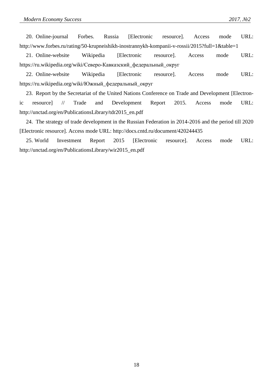20. Online-journal Forbes. Russia [Electronic resource]. Access mode URL: http://www.forbes.ru/rating/50-krupneishikh-inostrannykh-kompanii-v-rossii/2015?full=1&table=1

21. Online-website Wikipedia [Electronic resource]. Access mode URL: [https://ru.wikipedia.org/wiki/Северо-Кавказский\\_федеральный\\_округ](https://ru.wikipedia.org/wiki/??????-??????????_???????????_?????)

22. Online-website Wikipedia [Electronic resource]. Access mode URL: [https://ru.wikipedia.org/wiki/Южный\\_федеральный\\_округ](https://ru.wikipedia.org/wiki/?????_???????????_?????)

23. Report by the Secretariat of the United Nations Conference on Trade and Development [Electronic resource] // Trade and Development Report 2015. Access mode URL: http://unctad.org/en/PublicationsLibrary/tdr2015\_en.pdf

24. The strategy of trade development in the Russian Federation in 2014-2016 and the period till 2020 [Electronic resource]. Access mode URL: <http://docs.cntd.ru/document/420244435>

25. World Investment Report 2015 [Electronic resource]. Access mode URL: [http://unctad.org/en/PublicationsLibrary/wir2015\\_en.pdf](http://unctad.org/en/PublicationsLibrary/wir2015_en.pdf)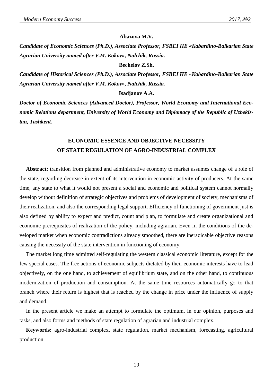#### **Abazova M.V.**

*Candidate of Economic Sciences (Ph.D.), Associate Professor, FSBEI HE «Kabardino-Balkarian State Agrarian University named after V.M. Kokov», Nalchik, Russia.*

#### **Bechelov Z.Sh.**

*Candidate of Historical Sciences (Ph.D.), Associate Professor, FSBEI HE «Kabardino-Balkarian State Agrarian University named after V.M. Kokov», Nalchik, Russia.*

**Isadjanov A.A.**

*Doctor of Economic Sciences (Advanced Doctor), Professor, World Economy and International Economic Relations department, University of World Economy and Diplomacy of the Republic of Uzbekistan, Tashkent.*

## **ECONOMIC ESSENCE AND OBJECTIVE NECESSITY OF STATE REGULATION OF AGRO-INDUSTRIAL COMPLEX**

**Abstract:** transition from planned and administrative economy to market assumes change of a role of the state, regarding decrease in extent of its intervention in economic activity of producers. At the same time, any state to what it would not present a social and economic and political system cannot normally develop without definition of strategic objectives and problems of development of society, mechanisms of their realization, and also the corresponding legal support. Efficiency of functioning of government just is also defined by ability to expect and predict, count and plan, to formulate and create organizational and economic prerequisites of realization of the policy, including agrarian. Even in the conditions of the developed market when economic contradictions already smoothed, there are ineradicable objective reasons causing the necessity of the state intervention in functioning of economy.

The market long time admitted self-regulating the western classical economic literature, except for the few special cases. The free actions of economic subjects dictated by their economic interests have to lead objectively, on the one hand, to achievement of equilibrium state, and on the other hand, to continuous modernization of production and consumption. At the same time resources automatically go to that branch where their return is highest that is reached by the change in price under the influence of supply and demand.

In the present article we make an attempt to formulate the optimum, in our opinion, purposes and tasks, and also forms and methods of state regulation of agrarian and industrial complex.

**Keywords:** agro-industrial complex, state regulation, market mechanism, forecasting, agricultural production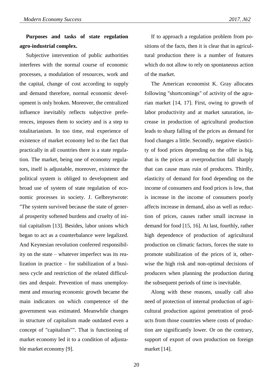## **Purposes and tasks of state regulation agro-industrial complex.**

Subjective intervention of public authorities interferes with the normal course of economic processes, a modulation of resources, work and the capital, change of cost according to supply and demand therefore, normal economic development is only broken. Moreover, the centralized influence inevitably reflects subjective preferences, imposes them to society and is a step to totalitarianism. In too time, real experience of existence of market economy led to the fact that practically in all countries there is a state regulation. The market, being one of economy regulators, itself is adjustable, moreover, existence the political system is obliged to development and broad use of system of state regulation of economic processes in society. J. Gelbreytwrote: "The system survived because the state of general prosperity softened burdens and cruelty of initial capitalism [13]. Besides, labor unions which began to act as a counterbalance were legalized. And Keynesian revolution conferred responsibility on the state – whatever imperfect was its realization in practice – for stabilization of a business cycle and restriction of the related difficulties and despair. Prevention of mass unemployment and ensuring economic growth became the main indicators on which competence of the government was estimated. Meanwhile changes in structure of capitalism made outdated even a concept of "capitalism"". That is functioning of market economy led it to a condition of adjustable market economy [9].

If to approach a regulation problem from positions of the facts, then it is clear that in agricultural production there is a number of features which do not allow to rely on spontaneous action of the market.

The American economist K. Gray allocates following "shortcomings" of activity of the agrarian market [14, 17]. First, owing to growth of labor productivity and at market saturation, increase in production of agricultural production leads to sharp falling of the prices as demand for food changes a little. Secondly, negative elasticity of food prices depending on the offer is big, that is the prices at overproduction fall sharply that can cause mass ruin of producers. Thirdly, elasticity of demand for food depending on the income of consumers and food prices is low, that is increase in the income of consumers poorly affects increase in demand, also as well as reduction of prices, causes rather small increase in demand for food [15, 16]. At last, fourthly, rather high dependence of production of agricultural production on climatic factors, forces the state to promote stabilization of the prices of it, otherwise the high risk and non-optimal decisions of producers when planning the production during the subsequent periods of time is inevitable.

Along with these reasons, usually call also need of protection of internal production of agricultural production against penetration of products from those countries where costs of production are significantly lower. Or on the contrary, support of export of own production on foreign market [14].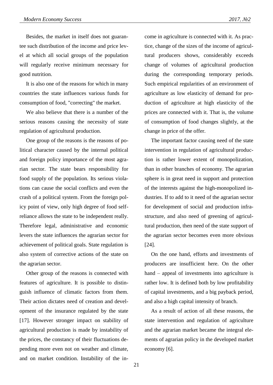Besides, the market in itself does not guarantee such distribution of the income and price level at which all social groups of the population will regularly receive minimum necessary for good nutrition.

It is also one of the reasons for which in many countries the state influences various funds for consumption of food, "correcting" the market.

We also believe that there is a number of the serious reasons causing the necessity of state regulation of agricultural production.

One group of the reasons is the reasons of political character caused by the internal political and foreign policy importance of the most agrarian sector. The state bears responsibility for food supply of the population. Its serious violations can cause the social conflicts and even the crash of a political system. From the foreign policy point of view, only high degree of food selfreliance allows the state to be independent really. Therefore legal, administrative and economic levers the state influences the agrarian sector for achievement of political goals. State regulation is also system of corrective actions of the state on the agrarian sector.

Other group of the reasons is connected with features of agriculture. It is possible to distinguish influence of climatic factors from them. Their action dictates need of creation and development of the insurance regulated by the state [17]. However stronger impact on stability of agricultural production is made by instability of the prices, the constancy of their fluctuations depending more even not on weather and climate, and on market condition. Instability of the income in agriculture is connected with it. As practice, change of the sizes of the income of agricultural producers shows, considerably exceeds change of volumes of agricultural production during the corresponding temporary periods. Such empirical regularities of an environment of agriculture as low elasticity of demand for production of agriculture at high elasticity of the prices are connected with it. That is, the volume of consumption of food changes slightly, at the change in price of the offer.

The important factor causing need of the state intervention in regulation of agricultural production is rather lower extent of monopolization, than in other branches of economy. The agrarian sphere is in great need in support and protection of the interests against the high-monopolized industries. If to add to it need of the agrarian sector for development of social and production infrastructure, and also need of greening of agricultural production, then need of the state support of the agrarian sector becomes even more obvious [24].

On the one hand, efforts and investments of producers are insufficient here. On the other hand – appeal of investments into agriculture is rather low. It is defined both by low profitability of capital investments, and a big payback period, and also a high capital intensity of branch.

As a result of action of all these reasons, the state intervention and regulation of agriculture and the agrarian market became the integral elements of agrarian policy in the developed market economy [6].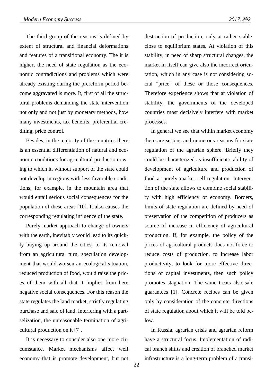The third group of the reasons is defined by

extent of structural and financial deformations and features of a transitional economy. The it is higher, the need of state regulation as the economic contradictions and problems which were already existing during the prereform period become aggravated is more. It, first of all the structural problems demanding the state intervention not only and not just by monetary methods, how many investments, tax benefits, preferential crediting, price control.

Besides, in the majority of the countries there is an essential differentiation of natural and economic conditions for agricultural production owing to which it, without support of the state could not develop in regions with less favorable conditions, for example, in the mountain area that would entail serious social consequences for the population of these areas [10]. It also causes the corresponding regulating influence of the state.

Purely market approach to change of owners with the earth, inevitably would lead to its quickly buying up around the cities, to its removal from an agricultural turn, speculation development that would worsen an ecological situation, reduced production of food, would raise the prices of them with all that it implies from here negative social consequences. For this reason the state regulates the land market, strictly regulating purchase and sale of land, interfering with a partselization, the unreasonable termination of agricultural production on it [7].

It is necessary to consider also one more circumstance. Market mechanisms affect well economy that is promote development, but not

destruction of production, only at rather stable, close to equilibrium states. At violation of this stability, in need of sharp structural changes, the market in itself can give also the incorrect orientation, which in any case is not considering social "price" of these or those consequences. Therefore experience shows that at violation of stability, the governments of the developed countries most decisively interfere with market processes.

In general we see that within market economy there are serious and numerous reasons for state regulation of the agrarian sphere. Briefly they could be characterized as insufficient stability of development of agriculture and production of food at purely market self-regulation. Intervention of the state allows to combine social stability with high efficiency of economy. Borders, limits of state regulation are defined by need of preservation of the competition of producers as source of increase in efficiency of agricultural production. If, for example, the policy of the prices of agricultural products does not force to reduce costs of production, to increase labor productivity, to look for more effective directions of capital investments, then such policy promotes stagnation. The same treats also sale guarantees [1]. Concrete recipes can be given only by consideration of the concrete directions of state regulation about which it will be told below.

In Russia, agrarian crisis and agrarian reform have a structural focus. Implementation of radical branch shifts and creation of branched market infrastructure is a long-term problem of a transi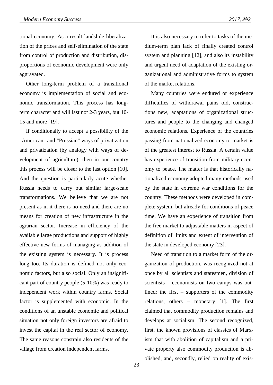tional economy. As a result landslide liberalization of the prices and self-elimination of the state from control of production and distribution, disproportions of economic development were only aggravated.

Other long-term problem of a transitional economy is implementation of social and economic transformation. This process has longterm character and will last not 2-3 years, but 10- 15 and more [19].

If conditionally to accept a possibility of the "American" and "Prussian" ways of privatization and privatization (by analogy with ways of development of agriculture), then in our country this process will be closer to the last option [10]. And the question is particularly acute whether Russia needs to carry out similar large-scale transformations. We believe that we are not present as in it there is no need and there are no means for creation of new infrastructure in the agrarian sector. Increase in efficiency of the available large productions and support of highly effective new forms of managing as addition of the existing system is necessary. It is process long too. Its duration is defined not only economic factors, but also social. Only an insignificant part of country people (5-10%) was ready to independent work within country farms. Social factor is supplemented with economic. In the conditions of an unstable economic and political situation not only foreign investors are afraid to invest the capital in the real sector of economy. The same reasons constrain also residents of the village from creation independent farms.

It is also necessary to refer to tasks of the medium-term plan lack of finally created control system and planning [12], and also its instability and urgent need of adaptation of the existing organizational and administrative forms to system of the market relations.

Many countries were endured or experience difficulties of withdrawal pains old, constructions new, adaptations of organizational structures and people to the changing and changed economic relations. Experience of the countries passing from nationalized economy to market is of the greatest interest to Russia. A certain value has experience of transition from military economy to peace. The matter is that historically nationalized economy adopted many methods used by the state in extreme war conditions for the country. These methods were developed in complete system, but already for conditions of peace time. We have an experience of transition from the free market to adjustable matters in aspect of definition of limits and extent of intervention of the state in developed economy [23].

Need of transition to a market form of the organization of production, was recognized not at once by all scientists and statesmen, division of scientists – economists on two camps was outlined: the first – supporters of the commodity relations, others – monetary [1]. The first claimed that commodity production remains and develops at socialism. The second recognized, first, the known provisions of classics of Marxism that with abolition of capitalism and a private property also commodity production is abolished, and, secondly, relied on reality of exis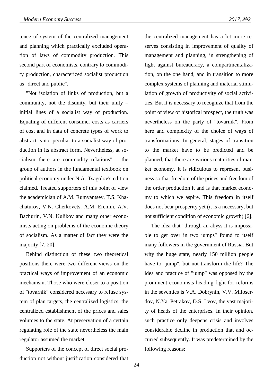tence of system of the centralized management and planning which practically excluded operation of laws of commodity production. This second part of economists, contrary to commodity production, characterized socialist production as "direct and public".

"Not isolation of links of production, but a community, not the disunity, but their unity – initial lines of a socialist way of production. Equating of different consumer costs as carriers of cost and in data of concrete types of work to abstract is not peculiar to a socialist way of production in its abstract form. Nevertheless, at socialism there are commodity relations" – the group of authors in the fundamental textbook on political economy under N.A. Tsagolov's edition claimed. Treated supporters of this point of view the academician of A.M. Rumyantsev, T.S. Khachaturov, V.N. Cherkovets, A.M. Eremin, A.V. Bachurin, V.N. Kulikov and many other economists acting on problems of the economic theory of socialism. As a matter of fact they were the majority [7, 20].

Behind distinction of these two theoretical positions there were two different views on the practical ways of improvement of an economic mechanism. Those who were closer to a position of "tovarnik" considered necessary to refuse system of plan targets, the centralized logistics, the centralized establishment of the prices and sales volumes to the state. At preservation of a certain regulating role of the state nevertheless the main regulator assumed the market.

Supporters of the concept of direct social production not without justification considered that

the centralized management has a lot more reserves consisting in improvement of quality of management and planning, in strengthening of fight against bureaucracy, a compartmentalization, on the one hand, and in transition to more complex systems of planning and material stimulation of growth of productivity of social activities. But it is necessary to recognize that from the point of view of historical prospect, the truth was nevertheless on the party of "tovarnik". From here and complexity of the choice of ways of transformations. In general, stages of transition to the market have to be predicted and be planned, that there are various maturities of market economy. It is ridiculous to represent business so that freedom of the prices and freedom of the order production it and is that market economy to which we aspire. This freedom in itself does not bear prosperity yet (it is a necessary, but not sufficient condition of economic growth) [6].

The idea that "through an abyss it is impossible to get over in two jumps" found to itself many followers in the government of Russia. But why the huge state, nearly 150 million people have to "jump", but not transform the life? The idea and practice of "jump" was opposed by the prominent economists heading fight for reforms in the seventies is V.A. Dobrynin, V.V. Miloserdov, N.Ya. Petrakov, D.S. Lvov, the vast majority of heads of the enterprises. In their opinion, such practice only deepens crisis and involves considerable decline in production that and occurred subsequently. It was predetermined by the following reasons: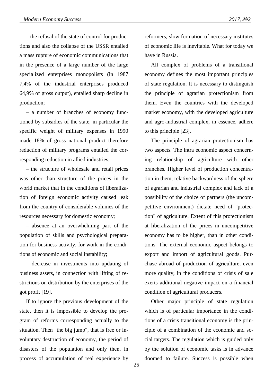– the refusal of the state of control for productions and also the collapse of the USSR entailed a mass rupture of economic communications that in the presence of a large number of the large specialized enterprises monopolists (in 1987 7,4% of the industrial enterprises produced 64,9% of gross output), entailed sharp decline in production;

– a number of branches of economy functioned by subsidies of the state, in particular the specific weight of military expenses in 1990 made 18% of gross national product therefore reduction of military programs entailed the corresponding reduction in allied industries;

– the structure of wholesale and retail prices was other than structure of the prices in the world market that in the conditions of liberalization of foreign economic activity caused leak from the country of considerable volumes of the resources necessary for domestic economy;

– absence at an overwhelming part of the population of skills and psychological preparation for business activity, for work in the conditions of economic and social instability;

– decrease in investments into updating of business assets, in connection with lifting of restrictions on distribution by the enterprises of the got profit [19].

If to ignore the previous development of the state, then it is impossible to develop the program of reforms corresponding actually to the situation. Then "the big jump", that is free or involuntary destruction of economy, the period of disasters of the population and only then, in process of accumulation of real experience by

reformers, slow formation of necessary institutes of economic life is inevitable. What for today we have in Russia.

All complex of problems of a transitional economy defines the most important principles of state regulation. It is necessary to distinguish the principle of agrarian protectionism from them. Even the countries with the developed market economy, with the developed agriculture and agro-industrial complex, in essence, adhere to this principle [23].

The principle of agrarian protectionism has two aspects. The intra economic aspect concerning relationship of agriculture with other branches. Higher level of production concentration in them, relative backwardness of the sphere of agrarian and industrial complex and lack of a possibility of the choice of partners (the uncompetitive environment) dictate need of "protection" of agriculture. Extent of this protectionism at liberalization of the prices in uncompetitive economy has to be higher, than in other conditions. The external economic aspect belongs to export and import of agricultural goods. Purchase abroad of production of agriculture, even more quality, in the conditions of crisis of sale exerts additional negative impact on a financial condition of agricultural producers.

Other major principle of state regulation which is of particular importance in the conditions of a crisis transitional economy is the principle of a combination of the economic and social targets. The regulation which is guided only by the solution of economic tasks is in advance doomed to failure. Success is possible when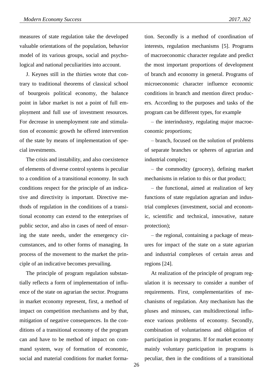measures of state regulation take the developed valuable orientations of the population, behavior model of its various groups, social and psychological and national peculiarities into account.

J. Keynes still in the thirties wrote that contrary to traditional theorems of classical school of bourgeois political economy, the balance point in labor market is not a point of full employment and full use of investment resources. For decrease in unemployment rate and stimulation of economic growth he offered intervention of the state by means of implementation of special investments.

The crisis and instability, and also coexistence of elements of diverse control systems is peculiar to a condition of a transitional economy. In such conditions respect for the principle of an indicative and directivity is important. Directive methods of regulation in the conditions of a transitional economy can extend to the enterprises of public sector, and also in cases of need of ensuring the state needs, under the emergency circumstances, and to other forms of managing. In process of the movement to the market the principle of an indicative becomes prevailing.

The principle of program regulation substantially reflects a form of implementation of influence of the state on agrarian the sector. Programs in market economy represent, first, a method of impact on competition mechanisms and by that, mitigation of negative consequences. In the conditions of a transitional economy of the program can and have to be method of impact on command system, way of formation of economic, social and material conditions for market formation. Secondly is a method of coordination of interests, regulation mechanisms [5]. Programs of macroeconomic character regulate and predict the most important proportions of development of branch and economy in general. Programs of microeconomic character influence economic conditions in branch and mention direct producers. According to the purposes and tasks of the program can be different types, for example

– the interindustry, regulating major macroeconomic proportions;

– branch, focused on the solution of problems of separate branches or spheres of agrarian and industrial complex;

– the commodity (grocery), defining market mechanisms in relation to this or that product;

– the functional, aimed at realization of key functions of state regulation agrarian and industrial complexes (investment, social and economic, scientific and technical, innovative, nature protection);

– the regional, containing a package of measures for impact of the state on a state agrarian and industrial complexes of certain areas and regions [24].

At realization of the principle of program regulation it is necessary to consider a number of requirements. First, complementarities of mechanisms of regulation. Any mechanism has the pluses and minuses, can multidirectional influence various problems of economy. Secondly, combination of voluntariness and obligation of participation in programs. If for market economy mainly voluntary participation in programs is peculiar, then in the conditions of a transitional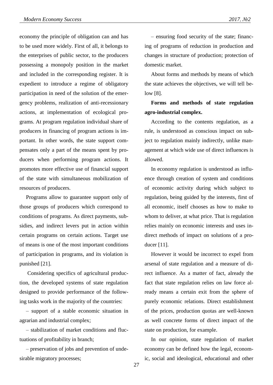economy the principle of obligation can and has to be used more widely. First of all, it belongs to the enterprises of public sector, to the producers possessing a monopoly position in the market and included in the corresponding register. It is expedient to introduce a regime of obligatory participation in need of the solution of the emergency problems, realization of anti-recessionary actions, at implementation of ecological programs. At program regulation individual share of producers in financing of program actions is important. In other words, the state support compensates only a part of the means spent by producers when performing program actions. It promotes more effective use of financial support of the state with simultaneous mobilization of resources of producers.

Programs allow to guarantee support only of those groups of producers which correspond to conditions of programs. As direct payments, subsidies, and indirect levers put in action within certain programs on certain actions. Target use of means is one of the most important conditions of participation in programs, and its violation is punished [21].

Considering specifics of agricultural production, the developed systems of state regulation designed to provide performance of the following tasks work in the majority of the countries:

– support of a stable economic situation in agrarian and industrial complex;

– stabilization of market conditions and fluctuations of profitability in branch;

– preservation of jobs and prevention of undesirable migratory processes;

– ensuring food security of the state; financing of programs of reduction in production and changes in structure of production; protection of domestic market.

About forms and methods by means of which the state achieves the objectives, we will tell below [8].

## **Forms and methods of state regulation agro-industrial complex.**

According to the contents regulation, as a rule, is understood as conscious impact on subject to regulation mainly indirectly, unlike management at which wide use of direct influences is allowed.

In economy regulation is understood as influence through creation of system and conditions of economic activity during which subject to regulation, being guided by the interests, first of all economic, itself chooses as how to make to whom to deliver, at what price. That is regulation relies mainly on economic interests and uses indirect methods of impact on solutions of a producer [11].

However it would be incorrect to expel from arsenal of state regulation and a measure of direct influence. As a matter of fact, already the fact that state regulation relies on law force already means a certain exit from the sphere of purely economic relations. Direct establishment of the prices, production quotas are well-known as well concrete forms of direct impact of the state on production, for example.

In our opinion, state regulation of market economy can be defined how the legal, economic, social and ideological, educational and other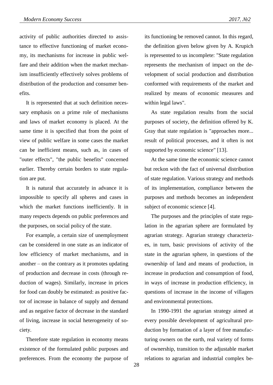activity of public authorities directed to assistance to effective functioning of market economy, its mechanisms for increase in public welfare and their addition when the market mechanism insufficiently effectively solves problems of distribution of the production and consumer benefits.

It is represented that at such definition necessary emphasis on a prime role of mechanisms and laws of market economy is placed. At the same time it is specified that from the point of view of public welfare in some cases the market can be inefficient means, such as, in cases of "outer effects", "the public benefits" concerned earlier. Thereby certain borders to state regulation are put.

It is natural that accurately in advance it is impossible to specify all spheres and cases in which the market functions inefficiently. It in many respects depends on public preferences and the purposes, on social policy of the state.

For example, a certain size of unemployment can be considered in one state as an indicator of low efficiency of market mechanisms, and in another  $-$  on the contrary as it promotes updating of production and decrease in costs (through reduction of wages). Similarly, increase in prices for food can doubly be estimated: as positive factor of increase in balance of supply and demand and as negative factor of decrease in the standard of living, increase in social heterogeneity of society.

Therefore state regulation in economy means existence of the formulated public purposes and preferences. From the economy the purpose of its functioning be removed cannot. In this regard, the definition given below given by A. Krupich is represented to us incomplete: "State regulation represents the mechanism of impact on the development of social production and distribution conformed with requirements of the market and realized by means of economic measures and within legal laws".

As state regulation results from the social purposes of society, the definition offered by K. Gray that state regulation is "approaches more... result of political processes, and it often is not supported by economic science" [13].

At the same time the economic science cannot but reckon with the fact of universal distribution of state regulation. Various strategy and methods of its implementation, compliance between the purposes and methods becomes an independent subject of economic science [4].

The purposes and the principles of state regulation in the agrarian sphere are formulated by agrarian strategy. Agrarian strategy characterizes, in turn, basic provisions of activity of the state in the agrarian sphere, in questions of the ownership of land and means of production, in increase in production and consumption of food, in ways of increase in production efficiency, in questions of increase in the income of villagers and environmental protections.

In 1990-1991 the agrarian strategy aimed at every possible development of agricultural production by formation of a layer of free manufacturing owners on the earth, real variety of forms of ownership, transition to the adjustable market relations to agrarian and industrial complex be-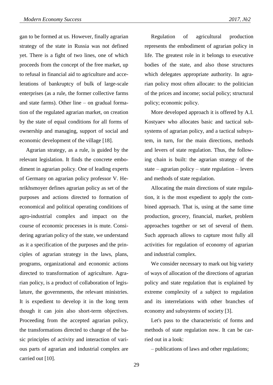gan to be formed at us. However, finally agrarian strategy of the state in Russia was not defined yet. There is a fight of two lines, one of which proceeds from the concept of the free market, up to refusal in financial aid to agriculture and accelerations of bankruptcy of bulk of large-scale enterprises (as a rule, the former collective farms and state farms). Other line – on gradual formation of the regulated agrarian market, on creation by the state of equal conditions for all forms of ownership and managing, support of social and economic development of the village [18].

Agrarian strategy, as a rule, is guided by the relevant legislation. It finds the concrete embodiment in agrarian policy. One of leading experts of Germany on agrarian policy professor V. Henrikhsmoyer defines agrarian policy as set of the purposes and actions directed to formation of economical and political operating conditions of agro-industrial complex and impact on the course of economic processes in is mute. Considering agrarian policy of the state, we understand as it a specification of the purposes and the principles of agrarian strategy in the laws, plans, programs, organizational and economic actions directed to transformation of agriculture. Agrarian policy, is a product of collaboration of legislature, the governments, the relevant ministries. It is expedient to develop it in the long term though it can join also short-term objectives. Proceeding from the accepted agrarian policy, the transformations directed to change of the basic principles of activity and interaction of various parts of agrarian and industrial complex are carried out [10].

Regulation of agricultural production represents the embodiment of agrarian policy in life. The greatest role in it belongs to executive bodies of the state, and also those structures which delegates appropriate authority. In agrarian policy most often allocate: to the politician of the prices and income; social policy; structural policy; economic policy.

More developed approach it is offered by A.I. Kostyaev who allocates basic and tactical subsystems of agrarian policy, and a tactical subsystem, in turn, for the main directions, methods and levers of state regulation. Thus, the following chain is built: the agrarian strategy of the state – agrarian policy – state regulation – levers and methods of state regulation.

Allocating the main directions of state regulation, it is the most expedient to apply the combined approach. That is, using at the same time production, grocery, financial, market, problem approaches together or set of several of them. Such approach allows to capture most fully all activities for regulation of economy of agrarian and industrial complex.

We consider necessary to mark out big variety of ways of allocation of the directions of agrarian policy and state regulation that is explained by extreme complexity of a subject to regulation and its interrelations with other branches of economy and subsystems of society [3].

Let's pass to the characteristic of forms and methods of state regulation now. It can be carried out in a look:

– publications of laws and other regulations;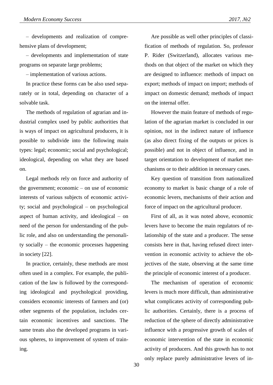– developments and realization of comprehensive plans of development;

– developments and implementation of state programs on separate large problems;

– implementation of various actions.

In practice these forms can be also used separately or in total, depending on character of a solvable task.

The methods of regulation of agrarian and industrial complex used by public authorities that is ways of impact on agricultural producers, it is possible to subdivide into the following main types: legal; economic; social and psychological; ideological, depending on what they are based on.

Legal methods rely on force and authority of the government; economic – on use of economic interests of various subjects of economic activity; social and psychological – on psychological aspect of human activity, and ideological – on need of the person for understanding of the public role, and also on understanding the personality socially – the economic processes happening in society [22].

In practice, certainly, these methods are most often used in a complex. For example, the publication of the law is followed by the corresponding ideological and psychological providing, considers economic interests of farmers and (or) other segments of the population, includes certain economic incentives and sanctions. The same treats also the developed programs in various spheres, to improvement of system of training.

Are possible as well other principles of classification of methods of regulation. So, professor P. Rider (Switzerland), allocates various methods on that object of the market on which they are designed to influence: methods of impact on export; methods of impact on import; methods of impact on domestic demand; methods of impact on the internal offer.

However the main feature of methods of regulation of the agrarian market is concluded in our opinion, not in the indirect nature of influence (as also direct fixing of the outputs or prices is possible) and not in object of influence, and in target orientation to development of market mechanisms or to their addition in necessary cases.

Key question of transition from nationalized economy to market is basic change of a role of economic levers, mechanisms of their action and force of impact on the agricultural producer.

First of all, as it was noted above, economic levers have to become the main regulators of relationship of the state and a producer. The sense consists here in that, having refused direct intervention in economic activity to achieve the objectives of the state, observing at the same time the principle of economic interest of a producer.

The mechanism of operation of economic levers is much more difficult, than administrative what complicates activity of corresponding public authorities. Certainly, there is a process of reduction of the sphere of directly administrative influence with a progressive growth of scales of economic intervention of the state in economic activity of producers. And this growth has to not only replace purely administrative levers of in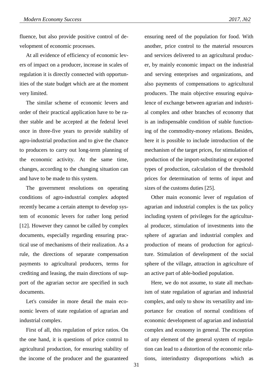fluence, but also provide positive control of development of economic processes.

At all evidence of efficiency of economic levers of impact on a producer, increase in scales of regulation it is directly connected with opportunities of the state budget which are at the moment very limited.

The similar scheme of economic levers and order of their practical application have to be rather stable and be accepted at the federal level once in three-five years to provide stability of agro-industrial production and to give the chance to producers to carry out long-term planning of the economic activity. At the same time, changes, according to the changing situation can and have to be made to this system.

The government resolutions on operating conditions of agro-industrial complex adopted recently became a certain attempt to develop system of economic levers for rather long period [12]. However they cannot be called by complex documents, especially regarding ensuring practical use of mechanisms of their realization. As a rule, the directions of separate compensation payments to agricultural producers, terms for crediting and leasing, the main directions of support of the agrarian sector are specified in such documents.

Let's consider in more detail the main economic levers of state regulation of agrarian and industrial complex.

First of all, this regulation of price ratios. On the one hand, it is questions of price control to agricultural production, for ensuring stability of the income of the producer and the guaranteed

ensuring need of the population for food. With another, price control to the material resources and services delivered to an agricultural producer, by mainly economic impact on the industrial and serving enterprises and organizations, and also payments of compensations to agricultural producers. The main objective ensuring equivalence of exchange between agrarian and industrial complex and other branches of economy that is an indispensable condition of stable functioning of the commodity-money relations. Besides, here it is possible to include introduction of the mechanism of the target prices, for stimulation of production of the import-substituting or exported types of production, calculation of the threshold prices for determination of terms of input and sizes of the customs duties [25].

Other main economic lever of regulation of agrarian and industrial complex is the tax policy including system of privileges for the agricultural producer, stimulation of investments into the sphere of agrarian and industrial complex and production of means of production for agriculture. Stimulation of development of the social sphere of the village, attraction in agriculture of an active part of able-bodied population.

Here, we do not assume, to state all mechanism of state regulation of agrarian and industrial complex, and only to show its versatility and importance for creation of normal conditions of economic development of agrarian and industrial complex and economy in general. The exception of any element of the general system of regulation can lead to a distortion of the economic relations, interindustry disproportions which as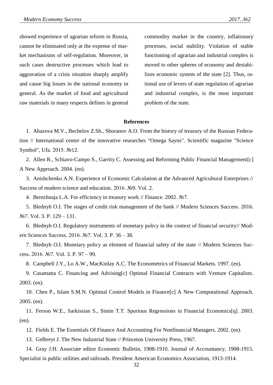showed experience of agrarian reform in Russia, cannot be eliminated only at the expense of market mechanisms of self-regulation. Moreover, in such cases destructive processes which lead to aggravation of a crisis situation sharply amplify and cause big losses in the national economy in general. As the market of food and agricultural raw materials in many respects defines in general commodity market in the country, inflationary processes, social stability. Violation of stable functioning of agrarian and industrial complex is moved to other spheres of economy and destabilizes economic system of the state [2]. Thus, rational use of levers of state regulation of agrarian and industrial complex, is the most important problem of the state.

#### **References**

1. Abazova M.V., Bechelov Z.Sh., Shoranov A.O. From the history of treasury of the Russian Federation // International center of the innovative researches "Omega Sayns". Scientific magazine "Science Symbol", Ufa. 2015. №12.

2. Allen R., Schiavo-Campo S., Garrity C. Assessing and Reforming Public Financial Management[c] A New Approach. 2004. (en).

3. Anishchenko A.N. Experience of Economic Calculation at the Advanced Agricultural Enterprises // Success of modern science and education. 2016. №9. Vol. 2.

4. Berezhnaja L.A. For efficiency in treasury work // Finance. 2002. №7.

5. Blednyh O.I. The stages of credit risk management of the bank // Modern Sciences Success. 2016. №7. Vol. 3. P. 129 – 131.

6. Blednyh O.I. Regulatory instruments of monetary policy in the context of financial security// Modern Sciences Success. 2016. №7. Vol. 3. P. 36 – 38.

7. Blednyh O.I. Monetary policy as element of financial safety of the state // Modern Sciences Success. 2016. №7. Vol. 3. P. 97 – 99.

8. Campbell J.Y., Lo A.W., MacKinlay A.C. The Econometrics of Financial Markets. 1997. (en).

9. Casamatta C. Financing and Advising[c] Optimal Financial Contracts with Venture Capitalists. 2003. (en).

10. Chen P., Islam S.M.N. Optimal Control Models in Finance[c] A New Computational Approach. 2005. (en).

11. Ferson W.E., Sarkissian S., Simin T.T. Spurious Regressions in Financial Economics[q]. 2003. (en).

12. Fields E. The Essentials Of Finance And Accounting For Nonfinancial Managers. 2002. (en).

13. Gelbreyt J. The New Industrial State // Princeton University Press, 1967.

14. Gray J.H. Associate editor Economic Bulletin, 1908-1910. Journal of Accountancy, 1908-1915. Specialist in public utilities and railroads. President American Economics Association, 1913-1914.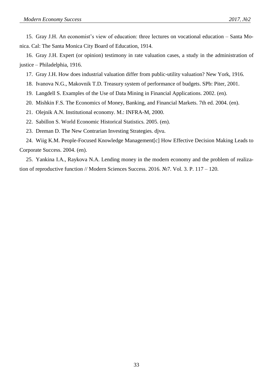15. Gray J.H. An economist's view of education: three lectures on vocational education – Santa Monica. Cal: The Santa Monica City Board of Education, 1914.

16. Gray J.H. Expert (or opinion) testimony in rate valuation cases, a study in the administration of justice – Philadelphia, 1916.

- 17. Gray J.H. How does industrial valuation differ from public-utility valuation? New York, 1916.
- 18. Ivanova N.G., Makovnik T.D. Treasury system of performance of budgets. SPb: Piter, 2001.
- 19. Langdell S. Examples of the Use of Data Mining in Financial Applications. 2002. (en).
- 20. Mishkin F.S. The Economics of Money, Banking, and Financial Markets. 7th ed. 2004. (en).
- 21. Olejnik A.N. Institutional economy. M.: INFRA-M, 2000.
- 22. Sabillon S. World Economic Historical Statistics. 2005. (en).
- 23. Dreman D. The New Contrarian Investing Strategies. djvu.

24. Wiig K.M. People-Focused Knowledge Management[c] How Effective Decision Making Leads to Corporate Success. 2004. (en).

25. Yankina I.A., Raykova N.A. Lending money in the modern economy and the problem of realization of reproductive function // Modern Sciences Success. 2016. №7. Vol. 3. P. 117 – 120.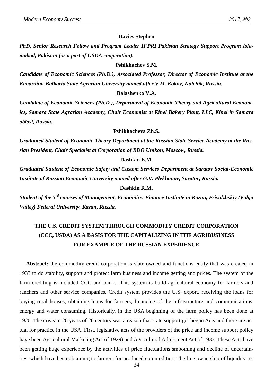#### **Davies Stephen**

*PhD, Senior Research Fellow and Program Leader IFPRI Pakistan Strategy Support Program Islamabad, Pakistan (as a part of USDA cooperation).*

#### **Pshikhachev S.M.**

*Candidate of Economic Sciences (Ph.D.), Associated Professor, Director of Economic Institute at the Kabardino-Balkaria State Agrarian University named after V.M. Kokov, Nalchik, Russia.*

#### **Balashenko V.A.**

*Candidate of Economic Sciences (Ph.D.), Department of Economic Theory and Agricultural Economics, Samara State Agrarian Academy, Chair Economist at Kinel Bakery Plant, LLC, Kinel in Samara oblast, Russia.*

#### **Pshikhacheva Zh.S.**

*Graduated Student of Economic Theory Department at the Russian State Service Academy at the Russian President, Chair Specialist at Corporation of BDO Unikon, Moscow, Russia.*

#### **Dashkin E.M.**

*Graduated Student of Economic Safety and Custom Services Department at Saratov Social-Economic Institute of Russian Economic University named after G.V. Plekhanov, Saratov, Russia.*

#### **Dashkin R.M.**

*Student of the 3 rd courses of Management, Economics, Finance Institute in Kazan, Privolzhskiy (Volga Valley) Federal University, Kazan, Russia.*

## **THE U.S. CREDIT SYSTEM THROUGH COMMODITY CREDIT CORPORATION (CCC, USDA) AS A BASIS FOR THE CAPITALIZING IN THE AGRIBUSINESS FOR EXAMPLE OF THE RUSSIAN EXPERIENCE**

**Abstract:** the commodity credit corporation is state-owned and functions entity that was created in 1933 to do stability, support and protect farm business and income getting and prices. The system of the farm crediting is included CCC and banks. This system is build agricultural economy for farmers and ranchers and other service companies. Credit system provides the U.S. export, receiving the loans for buying rural houses, obtaining loans for farmers, financing of the infrastructure and communications, energy and water consuming. Historically, in the USA beginning of the farm policy has been done at 1920. The crisis in 20 years of 20 century was a reason that state support got begun Acts and there are actual for practice in the USA. First, legislative acts of the providers of the price and income support policy have been Agricultural Marketing Act of 1929) and Agricultural Adjustment Act of 1933. These Acts have been getting huge experience by the activities of price fluctuations smoothing and decline of uncertainties, which have been obtaining to farmers for produced commodities. The free ownership of liquidity re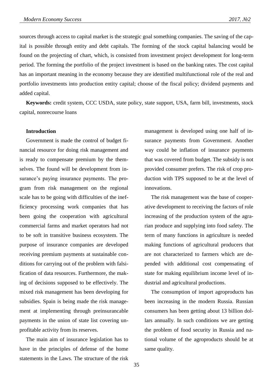sources through access to capital market is the strategic goal something companies. The saving of the capital is possible through entity and debt capitals. The forming of the stock capital balancing would be found on the projecting of chart, which, is consisted from investment project development for long-term period. The forming the portfolio of the project investment is based on the banking rates. The cost capital has an important meaning in the economy because they are identified multifunctional role of the real and portfolio investments into production entity capital; choose of the fiscal policy; dividend payments and added capital.

**Keywords:** credit system, CCC USDA, state policy, state support, USA, farm bill, investments, stock capital, nonrecourse loans

#### **Introduction**

Government is made the control of budget financial resource for doing risk management and is ready to compensate premium by the themselves. The found will be development from insurance's paying insurance payments. The program from risk management on the regional scale has to be going with difficulties of the inefficiency processing work companies that has been going the cooperation with agricultural commercial farms and market operators had not to be soft in transitive business ecosystem. The purpose of insurance companies are developed receiving premium payments at sustainable conditions for carrying out of the problem with falsification of data resources. Furthermore, the making of decisions supposed to be effectively. The mixed risk management has been developing for subsidies. Spain is being made the risk management at implementing through preinsurancable payments in the union of state list covering unprofitable activity from its reserves.

The main aim of insurance legislation has to have in the principles of defense of the home statements in the Laws. The structure of the risk management is developed using one half of insurance payments from Government. Another way could be inflation of insurance payments that was covered from budget. The subsidy is not provided consumer prefers. The risk of crop production with TPS supposed to be at the level of innovations.

The risk management was the base of cooperative development to receiving the factors of role increasing of the production system of the agrarian produce and supplying into food safety. The term of many functions in agriculture is needed making functions of agricultural producers that are not characterized to farmers which are depended with additional cost compensating of state for making equilibrium income level of industrial and agricultural productions.

The consumption of import agroproducts has been increasing in the modern Russia. Russian consumers has been getting about 13 billion dollars annually. In such conditions we are getting the problem of food security in Russia and national volume of the agroproducts should be at same quality.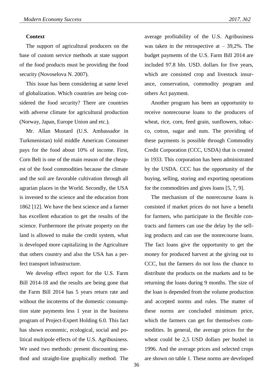### **Context**

The support of agricultural producers on the base of custom service methods at state support of the food products must be providing the food security (Novoselova N. 2007).

This issue has been considering at same level of globalization. Which countries are being considered the food security? There are countries with adverse climate for agricultural production (Norway, Japan, Europe Union and etc.).

Mr. Allan Mustard (U.S. Ambassador in Turkmenistan) told middle American Consumer pays for the food about 10% of income. First, Corn Belt is one of the main reason of the cheapest of the food commodities because the climate and the soil are favorable cultivation through all agrarian places in the World. Secondly, the USA is invested to the science and the education from 1862 [12]. We have the best science and a farmer has excellent education to get the results of the science. Furthermore the private property on the land is allowed to make the credit system, what is developed more capitalizing in the Agriculture that others country and also the USA has a perfect transport infrastructure.

We develop effect report for the U.S. Farm Bill 2014-18 and the results are being gone that the Farm Bill 2014 has 5 years return rate and without the incoterms of the domestic consumption state payments less 1 year in the business program of Project-Expert Holding 6.0. This fact has shown economic, ecological, social and political multipole effects of the U.S. Agribusiness. We used two methods: present discounting method and straight-line graphically method. The

average profitability of the U.S. Agribusiness was taken in the retrospective at  $-39,2\%$ . The budget payments of the U.S. Farm Bill 2014 are included 97.8 bln. USD. dollars for five years, which are consisted crop and livestock insurance, conservation, commodity program and others Act payment.

Another program has been an opportunity to receive nonrecourse loans to the producers of wheat, rice, corn, feed grain, sunflowers, tobacco, cotton, sugar and nuts. The providing of these payments is possible through Commodity Credit Corporation (CCC, USDA) that is created in 1933. This corporation has been administrated by the USDA. CCC has the opportunity of the buying, selling, storing and exporting operations for the commodities and gives loans [5, 7, 9].

The mechanism of the nonrecourse loans is consisted if market prices do not have a benefit for farmers, who participate in the flexible contracts and farmers can use the delay by the selling products and can use the nonrecourse loans. The fact loans give the opportunity to get the money for produced harvest at the giving out to CCC, but the farmers do not loss the chance to distribute the products on the markets and to be returning the loans during 9 months. The size of the loan is depended from the volume production and accepted norms and rules. The matter of these norms are concluded minimum price, which the farmers can get for themselves commodities. In general, the average prices for the wheat could be 2,5 USD dollars per bushel in 1996. And the average prices and selected crops are shown on table 1. These norms are developed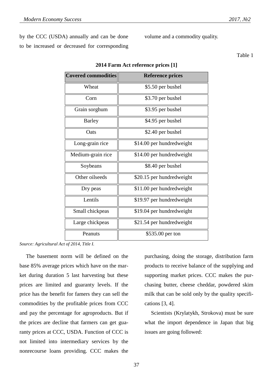by the CCC (USDA) annually and can be done to be increased or decreased for corresponding volume and a commodity quality.

Table 1

| <b>Covered commodities</b> | <b>Reference prices</b>   |
|----------------------------|---------------------------|
| Wheat                      | \$5.50 per bushel         |
| Corn                       | \$3.70 per bushel         |
| Grain sorghum              | \$3.95 per bushel         |
| <b>Barley</b>              | \$4.95 per bushel         |
| Oats                       | \$2.40 per bushel         |
| Long-grain rice            | \$14.00 per hundredweight |
| Medium-grain rice          | \$14.00 per hundredweight |
| Soybeans                   | \$8.40 per bushel         |
| Other oilseeds             | \$20.15 per hundredweight |
| Dry peas                   | \$11.00 per hundredweight |
| Lentils                    | \$19.97 per hundredweight |
| Small chickpeas            | \$19.04 per hundredweight |
| Large chickpeas            | \$21.54 per hundredweight |
| Peanuts                    | \$535.00 per ton          |
|                            |                           |

**2014 Farm Act reference prices [1]**

*Source: Agricultural Act of 2014, Title I.*

The basement norm will be defined on the base 85% average prices which have on the market during duration 5 last harvesting but these prices are limited and guaranty levels. If the price has the benefit for famers they can sell the commodities by the profitable prices from CCC and pay the percentage for agroproducts. But if the prices are decline that farmers can get guaranty prices at CCC, USDA. Function of CCC is not limited into intermediary services by the nonrecourse loans providing. CCC makes the

purchasing, doing the storage, distribution farm products to receive balance of the supplying and supporting market prices. CCC makes the purchasing butter, cheese cheddar, powdered skim milk that can be sold only by the quality specifications [3, 4].

Scientists (Krylatykh, Strokova) must be sure what the import dependence in Japan that big issues are going followed: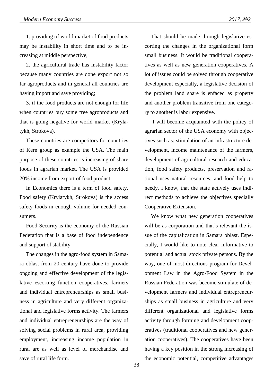1. providing of world market of food products may be instability in short time and to be increasing at middle perspective;

2. the agricultural trade has instability factor because many countries are done export not so far agroproducts and in general all countries are having import and save providing;

3. if the food products are not enough for life when countries buy some free agroproducts and that is going negative for world market (Krylatykh, Strokova).

These countries are competitors for countries of Kern group as example the USA. The main purpose of these countries is increasing of share foods in agrarian market. The USA is provided 20% income from export of food product.

In Economics there is a term of food safety. Food safety (Krylatykh, Strokova) is the access safety foods in enough volume for needed consumers.

Food Security is the economy of the Russian Federation that is a base of food independence and support of stability.

The changes in the agro-food system in Samara oblast from 20 century have done to provide ongoing and effective development of the legislative escorting function cooperatives, farmers and individual entrepreneurships as small business in agriculture and very different organizational and legislative forms activity. The farmers and individual entrepreneurships are the way of solving social problems in rural area, providing employment, increasing income population in rural are as well as level of merchandise and save of rural life form.

That should be made through legislative escorting the changes in the organizational form small business. It would be traditional cooperatives as well as new generation cooperatives. A lot of issues could be solved through cooperative development especially, a legislative decision of the problem land share is enfaced as property and another problem transitive from one category to another is labor expensive.

I will become acquainted with the policy of agrarian sector of the USA economy with objectives such as: stimulation of an infrastructure development, income maintenance of the farmers, development of agricultural research and education, food safety products, preservation and rational uses natural resources, and food help to needy. I know, that the state actively uses indirect methods to achieve the objectives specially Cooperative Extension.

We know what new generation cooperatives will be as corporation and that's relevant the issue of the capitalization in Samara oblast. Especially, I would like to note clear informative to potential and actual stock private persons. By the way, one of most directions program for Development Law in the Agro-Food System in the Russian Federation was become stimulate of development farmers and individual entrepreneurships as small business in agriculture and very different organizational and legislative forms activity through forming and development cooperatives (traditional cooperatives and new generation cooperatives). The cooperatives have been having a key position in the strong increasing of the economic potential, competitive advantages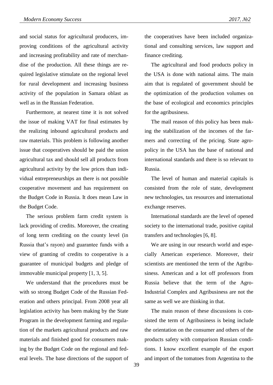and social status for agricultural producers, improving conditions of the agricultural activity and increasing profitability and rate of merchandise of the production. All these things are required legislative stimulate on the regional level for rural development and increasing business activity of the population in Samara oblast as well as in the Russian Federation.

Furthermore, at nearest time it is not solved the issue of making VAT for final estimates by the realizing inbound agricultural products and raw materials. This problem is following another issue that cooperatives should be paid the union agricultural tax and should sell all products from agricultural activity by the low prices than individual entrepreneurships an there is not possible cooperative movement and has requirement on the Budget Code in Russia. It does mean Law in the Budget Code.

The serious problem farm credit system is lack providing of credits. Moreover, the creating of long term crediting on the county level (in Russia that's rayon) and guarantee funds with a view of granting of credits to cooperative is a guarantee of municipal budgets and pledge of immovable municipal property [1, 3, 5].

We understand that the procedures must be with so strong Budget Code of the Russian Federation and others principal. From 2008 year all legislation activity has been making by the State Program in the development farming and regulation of the markets agricultural products and raw materials and finished good for consumers making by the Budget Code on the regional and federal levels. The base directions of the support of the cooperatives have been included organizational and consulting services, law support and finance crediting.

The agricultural and food products policy in the USA is done with national aims. The main aim that is regulated of government should be the optimization of the production volumes on the base of ecological and economics principles for the agribusiness.

The mail reason of this policy has been making the stabilization of the incomes of the farmers and correcting of the pricing. State agropolicy in the USA has the base of national and international standards and there is so relevant to Russia.

The level of human and material capitals is consisted from the role of state, development new technologies, tax resources and international exchange reserves.

International standards are the level of opened society to the international trade, positive capital transfers and technologies [6, 8].

We are using in our research world and especially American experience. Moreover, their scientists are mentioned the term of the Agribusiness. American and a lot off professors from Russia believe that the term of the Agro-Industrial Complex and Agribusiness are not the same as well we are thinking in that.

The main reason of these discussions is consisted the term of Agribusiness is being include the orientation on the consumer and others of the products safety with comparison Russian conditions. I know excellent example of the export and import of the tomatoes from Argentina to the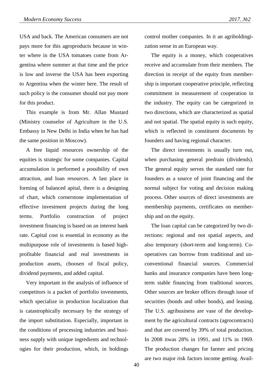USA and back. The American consumers are not pays more for this agroproducts because in winter where in the USA tomatoes come from Argentina where summer at that time and the price is low and inverse the USA has been exporting to Argentina when the winter here. The result of such policy is the consumer should not pay more for this product.

This example is from Mr. Allan Mustard (Ministry counselor of Agriculture in the U.S. Embassy in New Delhi in India when he has had the same position in Moscow).

A free liquid resources ownership of the equities is strategic for some companies. Capital accumulation is performed a possibility of own attraction, and loan resources. A last place in forming of balanced apital, there is a designing of chart, which cornerstone implementation of effective investment projects during the long terms. Portfolio construction of project investment financing is based on an interest bank rate. Capital cost is essential in economy as the multipurpose role of investments is based highprofitable financial and real investments in production assets, choosen of fiscal policy, dividend payments, and added capital.

Very important in the analysis of influence of competitors is a packet of portfolio investments, which specialize in production localization that is catastrophically necessary by the strategy of the import substitution. Especially, important in the conditions of processing industries and business supply with unique ingredients and technologies for their production, which, in holdings

control mother companies. In it an agriholdingization sense in an European way.

The equity is a money, which cooperatives receive and accumulate from their members. The direction in receipt of the equity from membership is important cooperative principle, reflecting commitment in measurement of cooperation in the industry. The equity can be categorized in two directions, which are characterized as spatial and not spatial. The spatial equity is such equity, which is reflected in constituent documents by founders and having regional character.

The direct investments is usually turn out, when purchasing general predrain (dividends). The general equity serves the standard rate for founders as a source of joint financing and the normal subject for voting and decision making process. Other sources of direct investments are membership payments, certificates on membership and on the equity.

The loan capital can be categorized by two directions: regional and not spatial aspects, and also temporary (short-term and long-term). Cooperatives can borrow from traditional and unconventional financial sources. Commercial banks and insurance companies have been longterm stable financing from traditional sources. Other sources are broker offices through issue of securities (bonds and other bonds), and leasing. The U.S. agribusiness are vase of the development by the agricultural contracts (agrocontracts) and that are covered by 39% of total production. In 2008 itwas 28% in 1991, and 11% in 1969. The production changes for farmer and pricing are two major risk factors income getting. Avail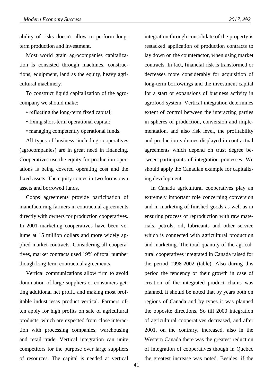ability of risks doesn't allow to perform longterm production and investment.

Most world grain agrocompanies capitalization is consisted through machines, constructions, equipment, land as the equity, heavy agricultural machinery.

To construct liquid capitalization of the agrocompany we should make:

- reflecting the long-term fixed capital;
- fixing short-term operational capital;
- managing competently operational funds.

All types of business, including cooperatives (agrocompanies) are in great need in financing. Cooperatives use the equity for production operations is being covered operating cost and the fixed assets. The equity comes in two forms own assets and borrowed funds.

Coops agreements provide participation of manufacturing farmers in contractual agreements directly with owners for production cooperatives. In 2001 marketing cooperatives have been volume at 15 million dollars and more widely applied market contracts. Considering all cooperatives, market contracts used 19% of total number though long-term contractual agreements.

Vertical communications allow firm to avoid domination of large suppliers or consumers getting additional net profit, and making most profitable industriesas product vertical. Farmers often apply for high profits on sale of agricultural products, which are expected from close interaction with processing companies, warehousing and retail trade. Vertical integration can unite competitors for the purpose over large suppliers of resources. The capital is needed at vertical

integration through consolidate of the property is restacked application of production contracts to lay down on the counteractor, when using market contracts. In fact, financial risk is transformed or decreases more considerably for acquisition of long-term borrowings and the investment capital for a start or expansions of business activity in agrofood system. Vertical integration determines extent of control between the interacting parties in spheres of production, conversion and implementation, and also risk level, the profitability and production volumes displayed in contractual agreements which depend on trust degree between participants of integration processes. We should apply the Canadian example for capitalizing development.

In Canada agricultural cooperatives play an extremely important role concerning conversion and in marketing of finished goods as well as in ensuring process of reproduction with raw materials, petrols, oil, lubricants and other service which is connected with agricultural production and marketing. The total quantity of the agricultural cooperatives integrated in Canada raised for the period 1998-2002 (table). Also during this period the tendency of their growth in case of creation of the integrated product chains was planned. It should be noted that by years both on regions of Canada and by types it was planned the opposite directions. So till 2000 integration of agricultural cooperatives decreased, and after 2001, on the contrary, increased, also in the Western Canada there was the greatest reduction of integration of cooperatives though in Quebec the greatest increase was noted. Besides, if the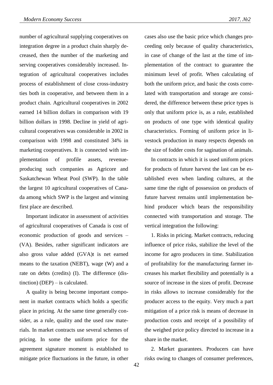number of agricultural supplying cooperatives on integration degree in a product chain sharply decreased, then the number of the marketing and serving cooperatives considerably increased. Integration of agricultural cooperatives includes process of establishment of close cross-industry ties both in cooperative, and between them in a product chain. Agricultural cooperatives in 2002 earned 14 billion dollars in comparison with 19 billion dollars in 1998. Decline in yield of agricultural cooperatives was considerable in 2002 in comparison with 1998 and constituted 34% in marketing cooperatives. It is connected with implementation of profile assets, revenueproducing such companies as Agricore and Saskatchewan Wheat Pool (SWP). In the table the largest 10 agricultural cooperatives of Canada among which SWP is the largest and winning first place are described.

Important indicator in assessment of activities of agricultural cooperatives of Canada is cost of economic production of goods and services – (VA). Besides, rather significant indicators are also gross value added (GVA)t is net earned means to the taxation (NEBT), wage (W) and a rate on debts (credits) (I). The difference (distinction) (DEP) – is calculated.

A quality is being become important component in market contracts which holds a specific place in pricing. At the same time generally consider, as a rule, quality and the used raw materials. In market contracts use several schemes of pricing. In some the uniform price for the agreement signature moment is established to mitigate price fluctuations in the future, in other cases also use the basic price which changes proceeding only because of quality characteristics, in case of change of the last at the time of implementation of the contract to guarantee the minimum level of profit. When calculating of both the uniform price, and basic the costs correlated with transportation and storage are considered, the difference between these price types is only that uniform price is, as a rule, established on products of one type with identical quality characteristics. Forming of uniform price in livestock production in many respects depends on the size of fodder costs for sagination of animals.

In contracts in which it is used uniform prices for products of future harvest the last can be established even when landing cultures, at the same time the right of possession on products of future harvest remains until implementation behind producer which bears the responsibility connected with transportation and storage. The vertical integration the following:

1. Risks in pricing. Market contracts, reducing influence of price risks, stabilize the level of the income for agro producers in time. Stabilization of profitability for the manufacturing farmer increases his market flexibility and potentially is a source of increase in the sizes of profit. Decrease in risks allows to increase considerably for the producer access to the equity. Very much a part mitigation of a price risk is means of decrease in production costs and receipt of a possibility of the weighed price policy directed to increase in a share in the market.

2. Market guarantees. Producers can have risks owing to changes of consumer preferences,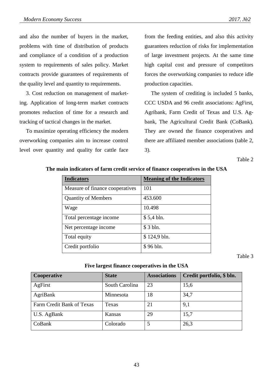and also the number of buyers in the market, problems with time of distribution of products and compliance of a condition of a production system to requirements of sales policy. Market contracts provide guarantees of requirements of the quality level and quantity to requirements.

3. Cost reduction on management of marketing. Application of long-term market contracts promotes reduction of time for a research and tracking of tactical changes in the market.

To maximize operating efficiency the modern overworking companies aim to increase control level over quantity and quality for cattle face

from the feeding entities, and also this activity guarantees reduction of risks for implementation of large investment projects. At the same time high capital cost and pressure of competitors forces the overworking companies to reduce idle production capacities.

The system of crediting is included 5 banks, CCC USDA and 96 credit associations: AgFirst, Agribank, Farm Credit of Texas and U.S. Agbank, The Agricultural Credit Bank (CoBank). They are owned the finance cooperatives and there are affiliated member associations (table 2, 3).

Table 2

| <b>Indicators</b>               | <b>Meaning of the Indicators</b> |
|---------------------------------|----------------------------------|
| Measure of finance cooperatives | 101                              |
| <b>Quantity of Members</b>      | 453.600                          |
| Wage                            | 10.498                           |
| Total percentage income         | $$5,4 \, bh.$                    |
| Net percentage income           | \$ 3 bln.                        |
| Total equity                    | $$124,9 \text{ bh}.$             |
| Credit portfolio                | \$96 bln.                        |

**The main indicators of farm credit service of finance cooperatives in the USA**

Table 3

## **Five largest finance cooperatives in the USA**

| Cooperative               | <b>State</b>   | <b>Associations</b> | Credit portfolio, \$ bln. |
|---------------------------|----------------|---------------------|---------------------------|
| AgFirst                   | South Carolina | 23                  | 15,6                      |
| <b>AgriBank</b>           | Minnesota      | 18                  | 34,7                      |
| Farm Credit Bank of Texas | Texas          | 21                  | 9,1                       |
| U.S. AgBank               | <b>Kansas</b>  | 29                  | 15,7                      |
| CoBank                    | Colorado       |                     | 26,3                      |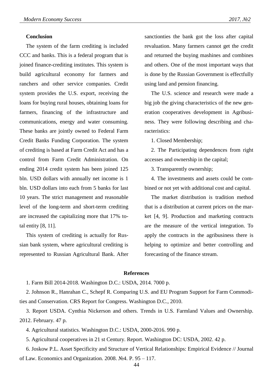### **Conclusion**

The system of the farm crediting is included CCC and banks. This is a federal program that is joined finance-crediting institutes. This system is build agricultural economy for farmers and ranchers and other service companies. Credit system provides the U.S. export, receiving the loans for buying rural houses, obtaining loans for farmers, financing of the infrastructure and communications, energy and water consuming. These banks are jointly owned to Federal Farm Credit Banks Funding Corporation. The system of crediting is based at Farm Credit Act and has a control from Farm Credit Administration. On ending 2014 credit system has been joined 125 bln. USD dollars with annually net income is 1 bln. USD dollars into each from 5 banks for last 10 years. The strict management and reasonable level of the long-term and short-term crediting are increased the capitalizing more that 17% total entity [8, 11].

This system of crediting is actually for Russian bank system, where agricultural crediting is represented to Russian Agricultural Bank. After sanctionties the bank got the loss after capital revaluation. Many farmers cannot get the credit and returned the buying mashines and combines and others. One of the most important ways that is done by the Russian Government is effectfully using land and pension financing.

The U.S. science and research were made a big job the giving characteristics of the new generation cooperatives development in Agribusiness. They were following describing and characteristics:

1. Closed Membership;

2. The Participating dependences from right accesses and ownership in the capital;

3. Transparently ownership;

4. The investments and assets could be combined or not yet with additional cost and capital.

The market distribution is tradition method that is a distribution at current prices on the market [4, 9]. Production and marketing contracts are the measure of the vertical integration. To apply the contracts in the agribusiness there is helping to optimize and better controlling and forecasting of the finance stream.

#### **References**

1. Farm Bill 2014-2018. Washington D.C.: USDA, 2014. 7000 p.

2. Johnson R., Hanrahan C., Schepf R. Comparing U.S. and EU Program Support for Farm Commodities and Conservation. CRS Report for Congress. Washington D.C., 2010.

3. Report USDA. Cynthia Nickerson and others. Trends in U.S. Farmland Values and Ownership. 2012. February. 47 p.

4. Agricultural statistics. Washington D.C.: USDA, 2000-2016. 990 p.

5. Agricultural cooperatives in 21 st Century. Report. Washington DC: USDA, 2002. 42 p.

6. Joskow P.L. Asset Specificity and Structure of Vertical Relationships: Empirical Evidence // Journal of Law. Economics and Organization. 2008. №4. P. 95 – 117.

44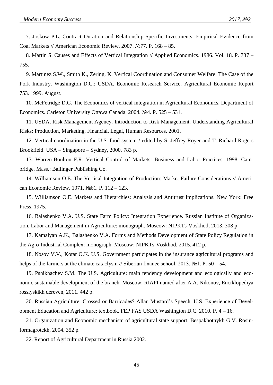7. Joskow P.L. Contract Duration and Relationship-Specific Investments: Empirical Evidence from Coal Markets // American Economic Review. 2007. №77. P. 168 – 85.

8. Martin S. Causes and Effects of Vertical Integration // Applied Economics. 1986. Vol. 18. P. 737 – 755.

9. Martinez S.W., Smith K., Zering. K. Vertical Coordination and Consumer Welfare: The Case of the Pork Industry. Washington D.C.: USDA. Economic Research Service. Agricultural Economic Report 753. 1999. August.

10. McFetridge D.G. The Economics of vertical integration in Agricultural Economics. Department of Economics. Carleton University Ottawa Canada. 2004. №4. P. 525 – 531.

11. USDA, Risk Management Agency. Introduction to Risk Management. Understanding Agricultural Risks: Production, Marketing, Financial, Legal, Human Resources. 2001.

12. Vertical coordination in the U.S. food system / edited by S. Jeffrey Royer and T. Richard Rogers Brookfield. USA – Singapore – Sydney, 2000. 783 p.

13. Warren-Boulton F.R. Vertical Control of Markets: Business and Labor Practices. 1998. Cambridge. Mass.: Ballinger Publishing Co.

14. Williamson O.E. The Vertical Integration of Production: Market Failure Considerations // American Economic Review. 1971. №61. P. 112 – 123.

15. Williamson O.E. Markets and Hierarchies: Analysis and Antitrust Implications. New York: Free Press, 1975.

16. Balashenko V.A. U.S. State Farm Policy: Integration Experience. Russian Institute of Organization, Labor and Management in Agriculture: monograph. Moscow: NIPKTs-Voskhod, 2013. 308 p.

17. Kamalyan A.K., Balashenko V.A. Forms and Methods Development of State Policy Regulation in the Agro-Industrial Complex: monograph. Moscow: NIPKTs-Voskhod, 2015. 412 p.

18. Nosov V.V., Kotar O.K. U.S. Government participates in the insurance agricultural programs and helps of the farmers at the climate cataclysm // Siberian finance school. 2013. №1. P. 50 – 54.

19. Pshikhachev S.M. The U.S. Agriculture: main tendency development and ecologically and economic sustainable development of the branch. Moscow: RIAPI named after A.A. Nikonov, Enciklopediya rossiyskikh dereven, 2011. 442 p.

20. Russian Agriculture: Crossed or Barricades? Allan Mustard's Speech. U.S. Experience of Development Education and Agriculture: textbook. FEP FAS USDA Washington D.C. 2010. P. 4 – 16.

21. Organization and Economic mechanism of agricultural state support. Bespakhotnykh G.V. Rosinformagrotekh, 2004. 352 p.

22. Report of Agricultural Department in Russia 2002.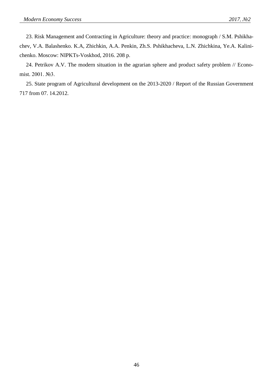23. Risk Management and Contracting in Agriculture: theory and practice: monograph / S.M. Pshikhachev, V.A. Balashenko. K.A, Zhichkin, A.A. Penkin, Zh.S. Pshikhacheva, L.N. Zhichkina, Ye.A. Kalinichenko. Moscow: NIPKTs-Voskhod, 2016. 208 p.

24. Petrikov A.V. The modern situation in the agrarian sphere and product safety problem // Economist. 2001. №3.

25. State program of Agricultural development on the 2013-2020 / Report of the Russian Government 717 from 07. 14.2012.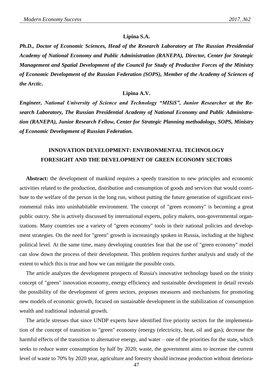#### **Lipina S.A.**

*Ph.D., Doctor of Economic Sciences, Head of the Research Laboratory at The Russian Presidential Academy of National Economy and Public Administration (RANEPA), Director, Center for Strategic Management and Spatial Development of the Council for Study of Productive Forces of the Ministry of Economic Development of the Russian Federation (SOPS), Member of the Academy of Sciences of the Arctic.*

#### **Lipina A.V.**

*Engineer, National University of Science and Technology "MISiS", Junior Researcher at the Research Laboratory, The Russian Presidential Academy of National Economy and Public Administration (RANEPA), Junior Research Fellow, Center for Strategic Planning methodology, SOPS, Ministry of Economic Development of Russian Federation.*

# **INNOVATION DEVELOPMENT: ENVIRONMENTAL TECHNOLOGY FORESIGHT AND THE DEVELOPMENT OF GREEN ECONOMY SECTORS**

**Abstract:** the development of mankind requires a speedy transition to new principles and economic activities related to the production, distribution and consumption of goods and services that would contribute to the welfare of the person in the long run, without putting the future generation of significant environmental risks into uninhabitable environment. The concept of "green economy" is becoming a great public outcry. She is actively discussed by international experts, policy makers, non-governmental organizations. Many countries use a variety of "green economy" tools in their national policies and development strategies. On the need for "green" growth is increasingly spoken in Russia, including at the highest political level. At the same time, many developing countries fear that the use of "green economy" model can slow down the process of their development. This problem requires further analysis and study of the extent to which this is true and how we can mitigate the possible costs.

The article analyzes the development prospects of Russia's innovative technology based on the trinity concept of "green" innovation economy, energy efficiency and sustainable development in detail reveals the possibility of the development of green sectors, proposes measures and mechanisms for promoting new models of economic growth, focused on sustainable development in the stabilization of consumption wealth and traditional industrial growth.

The article stresses that since UNDP experts have identified five priority sectors for the implementation of the concept of transition to "green" economy (energy (electricity, heat, oil and gas); decrease the harmful effects of the transition to alternative energy, and water – one of the priorities for the state, which seeks to reduce water consumption by half by 2020; waste, the government aims to increase the current level of waste to 70% by 2020 year, agriculture and forestry should increase production without deteriora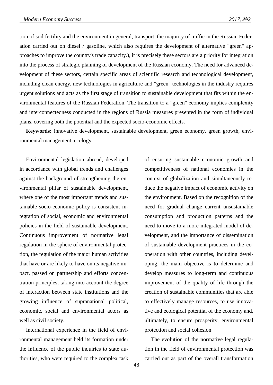tion of soil fertility and the environment in general, transport, the majority of traffic in the Russian Federation carried out on diesel / gasoline, which also requires the development of alternative "green" approaches to improve the country's trade capacity.), it is precisely these sectors are a priority for integration into the process of strategic planning of development of the Russian economy. The need for advanced development of these sectors, certain specific areas of scientific research and technological development, including clean energy, new technologies in agriculture and "green" technologies in the industry requires urgent solutions and acts as the first stage of transition to sustainable development that fits within the environmental features of the Russian Federation. The transition to a "green" economy implies complexity and interconnectedness conducted in the regions of Russia measures presented in the form of individual plans, covering both the potential and the expected socio-economic effects.

**Keywords:** innovative development, sustainable development, green economy, green growth, environmental management, ecology

Environmental legislation abroad, developed in accordance with global trends and challenges against the background of strengthening the environmental pillar of sustainable development, where one of the most important trends and sustainable socio-economic policy is consistent integration of social, economic and environmental policies in the field of sustainable development. Continuous improvement of normative legal regulation in the sphere of environmental protection, the regulation of the major human activities that have or are likely to have on its negative impact, passed on partnership and efforts concentration principles, taking into account the degree of interaction between state institutions and the growing influence of supranational political, economic, social and environmental actors as well as civil society.

International experience in the field of environmental management held its formation under the influence of the public inquiries to state authorities, who were required to the complex task

of ensuring sustainable economic growth and competitiveness of national economies in the context of globalization and simultaneously reduce the negative impact of economic activity on the environment. Based on the recognition of the need for gradual change current unsustainable consumption and production patterns and the need to move to a more integrated model of development, and the importance of dissemination of sustainable development practices in the cooperation with other countries, including developing, the main objective is to determine and develop measures to long-term and continuous improvement of the quality of life through the creation of sustainable communities that are able to effectively manage resources, to use innovative and ecological potential of the economy and, ultimately, to ensure prosperity, environmental protection and social cohesion.

The evolution of the normative legal regulation in the field of environmental protection was carried out as part of the overall transformation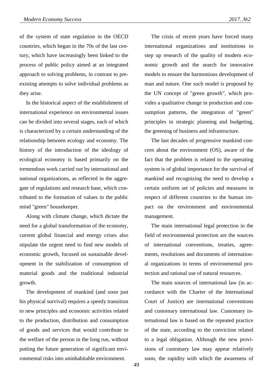of the system of state regulation in the OECD countries, which began in the 70s of the last century, which have increasingly been linked to the process of public policy aimed at an integrated approach to solving problems, in contrast to preexisting attempts to solve individual problems as they arise.

In the historical aspect of the establishment of international experience on environmental issues can be divided into several stages, each of which is characterized by a certain understanding of the relationship between ecology and economy. The history of the introduction of the ideology of ecological economy is based primarily on the tremendous work carried out by international and national organizations, as reflected in the aggregate of regulations and research base, which contributed to the formation of values in the public mind "green" housekeeper.

Along with climate change, which dictate the need for a global transformation of the economy, current global financial and energy crises also stipulate the urgent need to find new models of economic growth, focused on sustainable development in the stabilization of consumption of material goods and the traditional industrial growth.

The development of mankind (and soon just his physical survival) requires a speedy transition to new principles and economic activities related to the production, distribution and consumption of goods and services that would contribute to the welfare of the person in the long run, without putting the future generation of significant environmental risks into uninhabitable environment.

The crisis of recent years have forced many international organizations and institutions to step up research of the quality of modern economic growth and the search for innovative models to ensure the harmonious development of man and nature. One such model is proposed by the UN concept of "green growth", which provides a qualitative change in production and consumption patterns, the integration of "green" principles in strategic planning and budgeting, the greening of business and infrastructure.

The last decades of progressive mankind concern about the environment (OS), aware of the fact that the problem is related to the operating system is of global importance for the survival of mankind and recognizing the need to develop a certain uniform set of policies and measures in respect of different countries to the human impact on the environment and environmental management.

The main international legal protection in the field of environmental protection are the sources of international conventions, treaties, agreements, resolutions and documents of international organizations in terms of environmental protection and rational use of natural resources.

The main sources of international law (in accordance with the Charter of the International Court of Justice) are international conventions and customary international law. Customary international law is based on the repeated practice of the state, according to the conviction related to a legal obligation. Although the new provisions of customary law may appear relatively soon, the rapidity with which the awareness of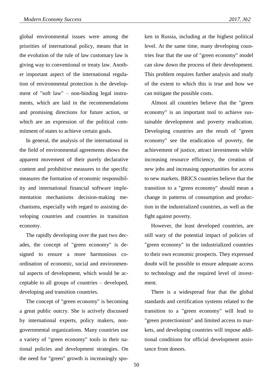global environmental issues were among the priorities of international policy, means that in the evolution of the rule of law customary law is giving way to conventional or treaty law. Another important aspect of the international regulation of environmental protection is the development of "soft law" – non-binding legal instruments, which are laid in the recommendations and promising directions for future action, or which are an expression of the political commitment of states to achieve certain goals.

In general, the analysis of the international in the field of environmental agreements shows the apparent movement of their purely declarative content and prohibitive measures to the specific measures the formation of economic responsibility and international financial software implementation mechanisms decision-making mechanisms, especially with regard to assisting developing countries and countries in transition economy.

The rapidly developing over the past two decades, the concept of "green economy" is designed to ensure a more harmonious coordination of economic, social and environmental aspects of development, which would be acceptable to all groups of countries – developed, developing and transition countries.

The concept of "green economy" is becoming a great public outcry. She is actively discussed by international experts, policy makers, nongovernmental organizations. Many countries use a variety of "green economy" tools in their national policies and development strategies. On the need for "green" growth is increasingly spoken in Russia, including at the highest political level. At the same time, many developing countries fear that the use of "green economy" model can slow down the process of their development. This problem requires further analysis and study of the extent to which this is true and how we can mitigate the possible costs.

Almost all countries believe that the "green economy" is an important tool to achieve sustainable development and poverty eradication. Developing countries are the result of "green economy" see the eradication of poverty, the achievement of justice, attract investments while increasing resource efficiency, the creation of new jobs and increasing opportunities for access to new markets. BRICS countries believe that the transition to a "green economy" should mean a change in patterns of consumption and production in the industrialized countries, as well as the fight against poverty.

However, the least developed countries, are still wary of the potential impact of policies of "green economy" in the industrialized countries to their own economic prospects. They expressed doubt will be possible to ensure adequate access to technology and the required level of investment.

There is a widespread fear that the global standards and certification systems related to the transition to a "green economy" will lead to "green protectionism" and limited access to markets, and developing countries will impose additional conditions for official development assistance from donors.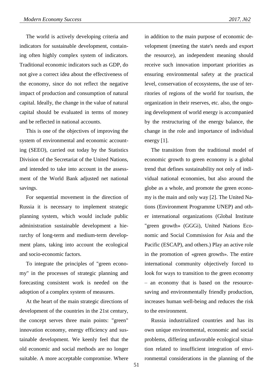The world is actively developing criteria and indicators for sustainable development, containing often highly complex system of indicators. Traditional economic indicators such as GDP, do not give a correct idea about the effectiveness of the economy, since do not reflect the negative impact of production and consumption of natural capital. Ideally, the change in the value of natural capital should be evaluated in terms of money and be reflected in national accounts.

This is one of the objectives of improving the system of environmental and economic accounting (SEEO), carried out today by the Statistics Division of the Secretariat of the United Nations, and intended to take into account in the assessment of the World Bank adjusted net national savings.

For sequential movement in the direction of Russia it is necessary to implement strategic planning system, which would include public administration sustainable development a hierarchy of long-term and medium-term development plans, taking into account the ecological and socio-economic factors.

To integrate the principles of "green economy" in the processes of strategic planning and forecasting consistent work is needed on the adoption of a complex system of measures.

At the heart of the main strategic directions of development of the countries in the 21st century, the concept serves three main points: "green" innovation economy, energy efficiency and sustainable development. We keenly feel that the old economic and social methods are no longer suitable. A more acceptable compromise. Where

in addition to the main purpose of economic development (meeting the state's needs and export the resource), an independent meaning should receive such innovation important priorities as ensuring environmental safety at the practical level, conservation of ecosystems, the use of territories of regions of the world for tourism, the organization in their reserves, etc. also, the ongoing development of world energy is accompanied by the restructuring of the energy balance, the change in the role and importance of individual energy [1].

The transition from the traditional model of economic growth to green economy is a global trend that defines sustainability not only of individual national economies, but also around the globe as a whole, and promote the green economy is the main and only way [2]. The United Nations (Environment Programme UNEP) and other international organizations (Global Institute "green growth» (GGGi), United Nations Economic and Social Commission for Asia and the Pacific (ESCAP), and others.) Play an active role in the promotion of «green growth». The entire international community objectively forced to look for ways to transition to the green economy – an economy that is based on the resourcesaving and environmentally friendly production, increases human well-being and reduces the risk to the environment.

Russia industrialized countries and has its own unique environmental, economic and social problems, differing unfavorable ecological situation related to insufficient integration of environmental considerations in the planning of the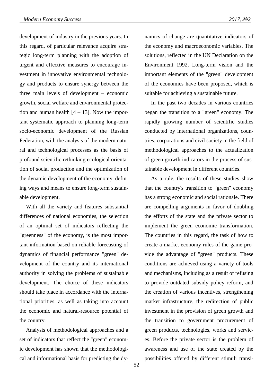development of industry in the previous years. In this regard, of particular relevance acquire strategic long-term planning with the adoption of urgent and effective measures to encourage investment in innovative environmental technology and products to ensure synergy between the three main levels of development – economic growth, social welfare and environmental protection and human health  $[4 - 13]$ . Now the important systematic approach to planning long-term socio-economic development of the Russian Federation, with the analysis of the modern natural and technological processes as the basis of profound scientific rethinking ecological orientation of social production and the optimization of the dynamic development of the economy, defining ways and means to ensure long-term sustainable development.

With all the variety and features substantial differences of national economies, the selection of an optimal set of indicators reflecting the "greenness" of the economy, is the most important information based on reliable forecasting of dynamics of financial performance "green" development of the country and its international authority in solving the problems of sustainable development. The choice of these indicators should take place in accordance with the international priorities, as well as taking into account the economic and natural-resource potential of the country.

Analysis of methodological approaches and a set of indicators that reflect the "green" economic development has shown that the methodological and informational basis for predicting the dynamics of change are quantitative indicators of the economy and macroeconomic variables. The solutions, reflected in the UN Declaration on the Environment 1992, Long-term vision and the important elements of the "green" development of the economies have been proposed, which is suitable for achieving a sustainable future.

In the past two decades in various countries began the transition to a "green" economy. The rapidly growing number of scientific studies conducted by international organizations, countries, corporations and civil society in the field of methodological approaches to the actualization of green growth indicators in the process of sustainable development in different countries.

As a rule, the results of these studies show that the country's transition to "green" economy has a strong economic and social rationale. There are compelling arguments in favor of doubling the efforts of the state and the private sector to implement the green economic transformation. The countries in this regard, the task of how to create a market economy rules of the game provide the advantage of "green" products. These conditions are achieved using a variety of tools and mechanisms, including as a result of refusing to provide outdated subsidy policy reform, and the creation of various incentives, strengthening market infrastructure, the redirection of public investment in the provision of green growth and the transition to government procurement of green products, technologies, works and services. Before the private sector is the problem of awareness and use of the state created by the possibilities offered by different stimuli transi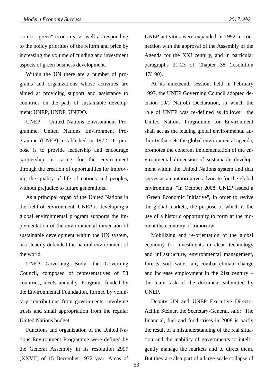tion to "green" economy, as well as responding to the policy priorities of the reform and price by increasing the volume of funding and investment aspects of green business development.

Within the UN there are a number of programs and organizations whose activities are aimed at providing support and assistance to countries on the path of sustainable development: UNEP, UNDP, UNIDO.

UNEP – United Nations Environment Programme. United Nations Environment Programme (UNEP), established in 1972. Its purpose is to provide leadership and encourage partnership in caring for the environment through the creation of opportunities for improving the quality of life of nations and peoples, without prejudice to future generations.

As a principal organ of the United Nations in the field of environment, UNEP is developing a global environmental program supports the implementation of the environmental dimension of sustainable development within the UN system, has steadily defended the natural environment of the world.

UNEP Governing Body, the Governing Council, composed of representatives of 58 countries, meets annually. Programs funded by the Environmental Foundation, formed by voluntary contributions from governments, involving trusts and small appropriation from the regular United Nations budget.

Functions and organization of the United Nations Environment Programme were defined by the General Assembly in its resolution 2997 (XXVII) of 15 December 1972 year. Areas of UNEP activities were expanded in 1992 in connection with the approval of the Assembly of the Agenda for the XXI century, and in particular paragraphs 21-23 of Chapter 38 (resolution 47/190).

At its nineteenth session, held in February 1997, the UNEP Governing Council adopted decision 19/1 Nairobi Declaration, in which the role of UNEP was re-defined as follows: "the United Nations Programme for Environment shall act as the leading global environmental authority that sets the global environmental agenda, promotes the coherent implementation of the environmental dimension of sustainable development within the United Nations system and that serves as an authoritative advocate for the global environment. "In October 2008, UNEP issued a "Green Economic Initiative", in order to revive the global markets, the purpose of which is the use of a historic opportunity to form at the moment the economy of tomorrow.

Mobilizing and re-orientation of the global economy for investments in clean technology and infrastructure, environmental management, forests, soil, water, air, combat climate change and increase employment in the 21st century – the main task of the document submitted by UNEP.

Deputy UN and UNEP Executive Director Achim Steiner, the Secretary-General, said: "The financial, fuel and food crises in 2008 is partly the result of a misunderstanding of the real situation and the inability of governments to intelligently manage the markets and to direct them. But they are also part of a large-scale collapse of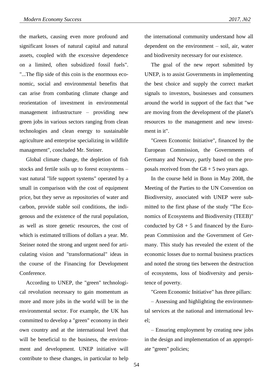the markets, causing even more profound and significant losses of natural capital and natural assets, coupled with the excessive dependence on a limited, often subsidized fossil fuels". "...The flip side of this coin is the enormous economic, social and environmental benefits that can arise from combating climate change and reorientation of investment in environmental management infrastructure – providing new green jobs in various sectors ranging from clean technologies and clean energy to sustainable agriculture and enterprise specializing in wildlife management", concluded Mr. Steiner.

Global climate change, the depletion of fish stocks and fertile soils up to forest ecosystems – vast natural "life support systems" operated by a small in comparison with the cost of equipment price, but they serve as repositories of water and carbon, provide stable soil conditions, the indigenous and the existence of the rural population, as well as store genetic resources, the cost of which is estimated trillions of dollars a year. Mr. Steiner noted the strong and urgent need for articulating vision and "transformational" ideas in the course of the Financing for Development Conference.

According to UNEP, the "green" technological revolution necessary to gain momentum as more and more jobs in the world will be in the environmental sector. For example, the UK has committed to develop a "green" economy in their own country and at the international level that will be beneficial to the business, the environment and development. UNEP initiative will contribute to these changes, in particular to help the international community understand how all dependent on the environment – soil, air, water and biodiversity necessary for our existence.

The goal of the new report submitted by UNEP, is to assist Governments in implementing the best choice and supply the correct market signals to investors, businesses and consumers around the world in support of the fact that "we are moving from the development of the planet's resources to the management and new investment in it".

"Green Economic Initiative", financed by the European Commission, the Governments of Germany and Norway, partly based on the proposals received from the  $G8 + 5$  two years ago.

In the course held in Bonn in May 2008, the Meeting of the Parties to the UN Convention on Biodiversity, associated with UNEP were submitted to the first phase of the study "The Economics of Ecosystems and Biodiversity (TEEB)" conducted by  $G8 + 5$  and financed by the European Commission and the Government of Germany. This study has revealed the extent of the economic losses due to normal business practices and noted the strong ties between the destruction of ecosystems, loss of biodiversity and persistence of poverty.

"Green Economic Initiative" has three pillars:

– Assessing and highlighting the environmental services at the national and international level;

– Ensuring employment by creating new jobs in the design and implementation of an appropriate "green" policies;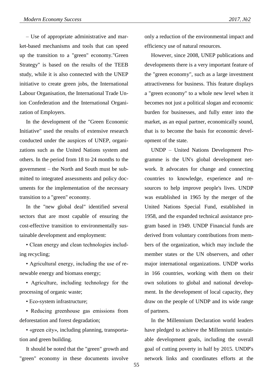– Use of appropriate administrative and market-based mechanisms and tools that can speed up the transition to a "green" economy."Green Strategy" is based on the results of the TEEB study, while it is also connected with the UNEP initiative to create green jobs, the International Labour Organisation, the International Trade Union Confederation and the International Organization of Employers.

In the development of the "Green Economic Initiative" used the results of extensive research conducted under the auspices of UNEP, organizations such as the United Nations system and others. In the period from 18 to 24 months to the government – the North and South must be submitted to integrated assessments and policy documents for the implementation of the necessary transition to a "green" economy.

In the "new global deal" identified several sectors that are most capable of ensuring the cost-effective transition to environmentally sustainable development and employment:

• Clean energy and clean technologies including recycling;

• Agricultural energy, including the use of renewable energy and biomass energy;

• Agriculture, including technology for the processing of organic waste;

• Eco-system infrastructure;

• Reducing greenhouse gas emissions from deforestation and forest degradation;

• «green city», including planning, transportation and green building.

It should be noted that the "green" growth and "green" economy in these documents involve only a reduction of the environmental impact and efficiency use of natural resources.

However, since 2008, UNEP publications and developments there is a very important feature of the "green economy", such as a large investment attractiveness for business. This feature displays a "green economy" to a whole new level when it becomes not just a political slogan and economic burden for businesses, and fully enter into the market, as an equal partner, economically sound, that is to become the basis for economic development of the state.

UNDP – United Nations Development Programme is the UN's global development network. It advocates for change and connecting countries to knowledge, experience and resources to help improve people's lives. UNDP was established in 1965 by the merger of the United Nations Special Fund, established in 1958, and the expanded technical assistance program based in 1949. UNDP Financial funds are derived from voluntary contributions from members of the organization, which may include the member states or the UN observers, and other major international organizations. UNDP works in 166 countries, working with them on their own solutions to global and national development. In the development of local capacity, they draw on the people of UNDP and its wide range of partners.

In the Millennium Declaration world leaders have pledged to achieve the Millennium sustainable development goals, including the overall goal of cutting poverty in half by 2015. UNDP's network links and coordinates efforts at the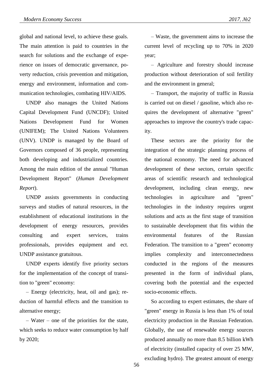global and national level, to achieve these goals. The main attention is paid to countries in the search for solutions and the exchange of experience on issues of democratic governance, poverty reduction, crisis prevention and mitigation, energy and environment, information and communication technologies, combating HIV/AIDS.

UNDP also manages the United Nations Capital Development Fund (UNCDF); United Nations Development Fund for Women (UNIFEM); The United Nations Volunteers (UNV). UNDP is managed by the Board of Governors composed of 36 people, representing both developing and industrialized countries. Among the main edition of the annual "Human Development Report" (*Human Development Report*).

UNDP assists governments in conducting surveys and studies of natural resources, in the establishment of educational institutions in the development of energy resources, provides consulting and expert services, trains professionals, provides equipment and ect. UNDP assistance gratuitous.

UNDP experts identify five priority sectors for the implementation of the concept of transition to "green" economy:

– Energy (electricity, heat, oil and gas); reduction of harmful effects and the transition to alternative energy;

– Water – one of the priorities for the state, which seeks to reduce water consumption by half by 2020;

– Waste, the government aims to increase the current level of recycling up to 70% in 2020 year;

– Agriculture and forestry should increase production without deterioration of soil fertility and the environment in general;

– Transport, the majority of traffic in Russia is carried out on diesel / gasoline, which also requires the development of alternative "green" approaches to improve the country's trade capacity.

These sectors are the priority for the integration of the strategic planning process of the national economy. The need for advanced development of these sectors, certain specific areas of scientific research and technological development, including clean energy, new technologies in agriculture and "green" technologies in the industry requires urgent solutions and acts as the first stage of transition to sustainable development that fits within the environmental features of the Russian Federation. The transition to a "green" economy implies complexity and interconnectedness conducted in the regions of the measures presented in the form of individual plans, covering both the potential and the expected socio-economic effects.

So according to expert estimates, the share of "green" energy in Russia is less than 1% of total electricity production in the Russian Federation. Globally, the use of renewable energy sources produced annually no more than 8.5 billion kWh of electricity (installed capacity of over 25 MW, excluding hydro). The greatest amount of energy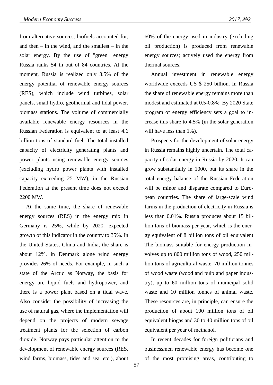from alternative sources, biofuels accounted for, and then  $-$  in the wind, and the smallest  $-$  in the solar energy. By the use of "green" energy Russia ranks 54 th out of 84 countries. At the moment, Russia is realized only 3.5% of the energy potential of renewable energy sources (RES), which include wind turbines, solar panels, small hydro, geothermal and tidal power, biomass stations. The volume of commercially available renewable energy resources in the Russian Federation is equivalent to at least 4.6 billion tons of standard fuel. The total installed capacity of electricity generating plants and power plants using renewable energy sources (excluding hydro power plants with installed capacity exceeding 25 MW), in the Russian Federation at the present time does not exceed 2200 MW.

At the same time, the share of renewable energy sources (RES) in the energy mix in Germany is 25%, while by 2020. expected growth of this indicator in the country to 35%. In the United States, China and India, the share is about 12%, in Denmark alone wind energy provides 26% of needs. For example, in such a state of the Arctic as Norway, the basis for energy are liquid fuels and hydropower, and there is a power plant based on a tidal wave. Also consider the possibility of increasing the use of natural gas, where the implementation will depend on the projects of modern sewage treatment plants for the selection of carbon dioxide. Norway pays particular attention to the development of renewable energy sources (RES, wind farms, biomass, tides and sea, etc.), about

60% of the energy used in industry (excluding oil production) is produced from renewable energy sources; actively used the energy from thermal sources.

Annual investment in renewable energy worldwide exceeds US \$ 250 billion. In Russia the share of renewable energy remains more than modest and estimated at 0.5-0.8%. By 2020 State program of energy efficiency sets a goal to increase this share to 4.5% (in the solar generation will have less than 1%).

Prospects for the development of solar energy in Russia remains highly uncertain. The total capacity of solar energy in Russia by 2020. It can grow substantially in 1000, but its share in the total energy balance of the Russian Federation will be minor and disparate compared to European countries. The share of large-scale wind farms in the production of electricity in Russia is less than 0.01%. Russia produces about 15 billion tons of biomass per year, which is the energy equivalent of 8 billion tons of oil equivalent The biomass suitable for energy production involves up to 800 million tons of wood, 250 million tons of agricultural waste, 70 million tonnes of wood waste (wood and pulp and paper industry), up to 60 million tons of municipal solid waste and 10 million tonnes of animal waste. These resources are, in principle, can ensure the production of about 100 million tons of oil equivalent biogas and 30 to 40 million tons of oil equivalent per year of methanol.

In recent decades for foreign politicians and businessmen renewable energy has become one of the most promising areas, contributing to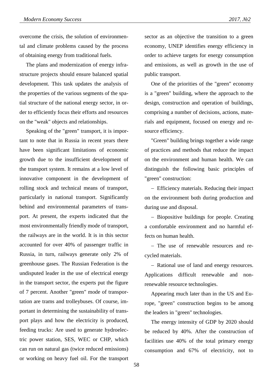overcome the crisis, the solution of environmental and climate problems caused by the process of obtaining energy from traditional fuels.

The plans and modernization of energy infrastructure projects should ensure balanced spatial development. This task updates the analysis of the properties of the various segments of the spatial structure of the national energy sector, in order to efficiently focus their efforts and resources on the "weak" objects and relationships.

Speaking of the "green" transport, it is important to note that in Russia in recent years there have been significant limitations of economic growth due to the insufficient development of the transport system. It remains at a low level of innovative component in the development of rolling stock and technical means of transport, particularly in national transport. Significantly behind and environmental parameters of transport. At present, the experts indicated that the most environmentally friendly mode of transport, the railways are in the world. It is in this sector accounted for over 40% of passenger traffic in Russia, in turn, railways generate only 2% of greenhouse gases. The Russian Federation is the undisputed leader in the use of electrical energy in the transport sector, the experts put the figure of 7 percent. Another "green" mode of transportation are trams and trolleybuses. Of course, important in determining the sustainability of transport plays and how the electricity is produced, feeding trucks: Are used to generate hydroelectric power station, SES, WEC or CHP, which can run on natural gas (twice reduced emissions) or working on heavy fuel oil. For the transport

sector as an objective the transition to a green economy, UNEP identifies energy efficiency in order to achieve targets for energy consumption and emissions, as well as growth in the use of public transport.

One of the priorities of the "green" economy is a "green" building, where the approach to the design, construction and operation of buildings, comprising a number of decisions, actions, materials and equipment, focused on energy and resource efficiency.

"Green" building brings together a wide range of practices and methods that reduce the impact on the environment and human health. We can distinguish the following basic principles of "green" construction:

 Efficiency materials. Reducing their impact on the environment both during production and during use and disposal.

- Biopositive buildings for people. Creating a comfortable environment and no harmful effects on human health.

- The use of renewable resources and recycled materials.

- Rational use of land and energy resources. Applications difficult renewable and nonrenewable resource technologies.

Appearing much later than in the US and Europe, "green" construction begins to be among the leaders in "green" technologies.

The energy intensity of GDP by 2020 should be reduced by 40%. After the construction of facilities use 40% of the total primary energy consumption and 67% of electricity, not to

58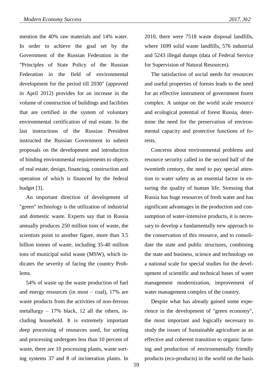mention the 40% raw materials and 14% water. In order to achieve the goal set by the Government of the Russian Federation in the "Principles of State Policy of the Russian Federation in the field of environmental development for the period till 2030" (approved in April 2012) provides for an increase in the volume of construction of buildings and facilities that are certified in the system of voluntary environmental certification of real estate. In the last instructions of the Russian President instructed the Russian Government to submit proposals on the development and introduction of binding environmental requirements to objects of real estate, design, financing, construction and operation of which is financed by the federal budget [3].

An important direction of development of "green" technology is the utilization of industrial and domestic waste. Experts say that in Russia annually produces 250 million tons of waste, the scientists point to another figure, more than 3.5 billion tonnes of waste, including 35-40 million tons of municipal solid waste (MSW), which indicates the severity of facing the country Problems.

54% of waste up the waste production of fuel and energy resources (in most – coal), 17% are waste products from the activities of non-ferrous metallurgy – 17% black, 12 all the others, including household. It is extremely important deep processing of resources used, for sorting and processing undergoes less than 10 percent of waste, there are 10 processing plants, waste sorting systems 37 and 8 of incineration plants. In

2010, there were 7518 waste disposal landfills, where 1699 solid waste landfills, 576 industrial and 5243 illegal dumps (data of Federal Service for Supervision of Natural Resources).

The satisfaction of social needs for resources and useful properties of forests leads to the need for an effective instrument of government forest complex. A unique on the world scale resource and ecological potential of forest Russia, determine the need for the preservation of environmental capacity and protective functions of forests.

Concerns about environmental problems and resource security called in the second half of the twentieth century, the need to pay special attention to water safety as an essential factor in ensuring the quality of human life. Stressing that Russia has huge resources of fresh water and has significant advantages in the production and consumption of water-intensive products, it is necessary to develop a fundamentally new approach to the conservation of this resource, and to consolidate the state and public structures, combining the state and business, science and technology on a national scale for special studies for the development of scientific and technical bases of water management modernization, improvement of water management complex of the country.

Despite what has already gained some experience in the development of "green economy", the most important and logically necessary to study the issues of Sustainable agriculture as an effective and coherent transition to organic farming and production of environmentally friendly products (eco-products) in the world on the basis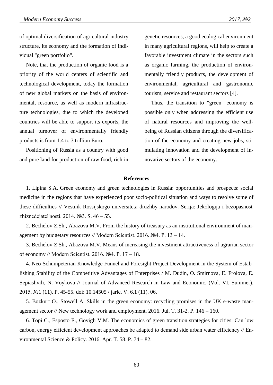of optimal diversification of agricultural industry structure, its economy and the formation of individual "green portfolio".

Note, that the production of organic food is a priority of the world centers of scientific and technological development, today the formation of new global markets on the basis of environmental, resource, as well as modern infrastructure technologies, due to which the developed countries will be able to support its exports, the annual turnover of environmentally friendly products is from 1.4 to 3 trillion Euro.

Positioning of Russia as a country with good and pure land for production of raw food, rich in genetic resources, a good ecological environment in many agricultural regions, will help to create a favorable investment climate in the sectors such as organic farming, the production of environmentally friendly products, the development of environmental, agricultural and gastronomic tourism, service and restaurant sectors [4].

Thus, the transition to "green" economy is possible only when addressing the efficient use of natural resources and improving the wellbeing of Russian citizens through the diversification of the economy and creating new jobs, stimulating innovation and the development of innovative sectors of the economy.

## **References**

1. Lipina S.A. Green economy and green technologies in Russia: opportunities and prospects: social medicine in the regions that have experienced poor socio-political situation and ways to resolve some of these difficulties // Vestnik Rossijskogo universiteta druzhby narodov. Serija: Jekologija i bezopasnost' zhiznedejatel'nosti. 2014. №3. S. 46 – 55.

2. Bechelov Z.Sh., Abazova M.V. From the history of treasury as an institutional environment of management by budgetary resources // Modern Scientist. 2016. №4. P. 13 – 14.

3. Bechelov Z.Sh., Abazova M.V. Means of increasing the investment attractiveness of agrarian sector of economy // Modern Scientist. 2016. №4. P. 17 – 18.

4. Neo-Schumpeterian Knowledge Funnel and Foresight Project Development in the System of Establishing Stability of the Competitive Advantages of Enterprises / M. Dudin, O. Smirnova, Е. Frolova, E. Sepiashvili, N. Voykova // Journal of Advanced Research in Law and Economic. (Vol. VI. Summer), 2015. №1 (11). P. 45-55. doi: 10.14505 / jarle. V. 6.1 (11). 06.

5. Bozkurt O., Stowell A. Skills in the green economy: recycling promises in the UK e-waste management sector // New technology work and employment. 2016. Jul. Т. 31-2. P. 146 – 160.

6. Topi C., Esposto E., Govigli V.M. The economics of green transition strategies for cities: Can low carbon, energy efficient development approaches be adapted to demand side urban water efficiency // Environmental Science & Policy. 2016. Apr. Т. 58. P. 74 – 82.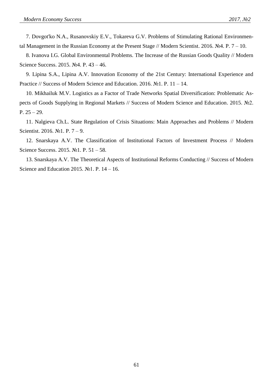7. Dovgot'ko N.A., Rusanovskiy E.V., Tokareva G.V. Problems of Stimulating Rational Environmental Management in the Russian Economy at the Present Stage // Modern Scientist. 2016. №4. P.  $7 - 10$ .

8. Ivanova I.G. Global Environmental Problems. The Increase of the Russian Goods Quality // Modern Science Success. 2015. №4. P. 43 – 46.

9. Lipina S.A., Lipina A.V. Innovation Economy of the 21st Century: International Experience and Practice // Success of Modern Science and Education. 2016. №1. P. 11 – 14.

10. Mikhailuk M.V. Logistics as a Factor of Trade Networks Spatial Diversification: Problematic Aspects of Goods Supplying in Regional Markets // Success of Modern Science and Education. 2015. №2. P. 25 – 29.

11. Nalgieva Ch.L. State Regulation of Crisis Situations: Main Approaches and Problems // Modern Scientist. 2016. №1. P. 7 – 9.

12. Snarskaya A.V. The Classification of Institutional Factors of Investment Process // Modern Science Success. 2015. №1. P. 51 – 58.

13. Snarskaya A.V. The Theoretical Aspects of Institutional Reforms Conducting // Success of Modern Science and Education 2015.  $\mathbb{N}$ <sup>o</sup>1. P. 14 – 16.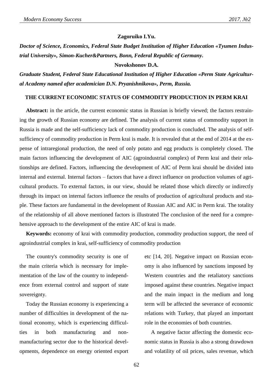#### **Zagoruiko I.Yu.**

*Doctor of Science, Economics, Federal State Budget Institution of Higher Education «Tyumen Industrial University», Simon-Kucher&Partners, Bonn, Federal Republic of Germany.*

#### **Novokshonov D.A.**

*Graduate Student, Federal State Educational Institution of Higher Education «Perm State Agricultural Academy named after academician D.N. Pryanishnikova», Perm, Russia.*

#### **THE CURRENT ECONOMIC STATUS OF COMMODITY PRODUCTION IN PERM KRAI**

**Abstract:** in the article, the current economic status in Russian is briefly viewed; the factors restraining the growth of Russian economy are defined. The analysis of current status of commodity support in Russia is made and the self-sufficiency lack of commodity production is concluded. The analysis of selfsufficiency of commodity production in Perm krai is made. It is revealed that at the end of 2014 at the expense of intraregional production, the need of only potato and egg products is completely closed. The main factors influencing the development of AIC (agroindustrial complex) of Perm krai and their relationships are defined. Factors, influencing the development of AIC of Perm krai should be divided into internal and external. Internal factors – factors that have a direct influence on production volumes of agricultural products. To external factors, in our view, should be related those which directly or indirectly through its impact on internal factors influence the results of production of agricultural products and staple. These factors are fundamental in the development of Russian AIC and AIC in Perm krai. The totality of the relationship of all above mentioned factors is illustrated The conclusion of the need for a comprehensive approach to the development of the entire AIC of krai is made.

**Keywords:** economy of krai with commodity production, commodity production support, the need of agroindustrial complex in krai, self-sufficiency of commodity production

The country's commodity security is one of the main criteria which is necessary for implementation of the law of the country to independence from external control and support of state sovereignty.

Today the Russian economy is experiencing a number of difficulties in development of the national economy, which is experiencing difficulties in both manufacturing and nonmanufacturing sector due to the historical developments, dependence on energy oriented export etc [14, 20]. Negative impact on Russian economy is also influenced by sanctions imposed by Western countries and the retaliatory sanctions imposed against these countries. Negative impact and the main impact in the medium and long term will be affected the severance of economic relations with Turkey, that played an important role in the economies of both countries.

A negative factor affecting the domestic economic status in Russia is also a strong drawdown and volatility of oil prices, sales revenue, which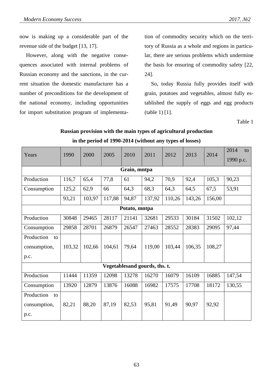now is making up a considerable part of the revenue side of the budget [13, 17].

However, along with the negative consequences associated with internal problems of Russian economy and the sanctions, in the current situation the domestic manufacturer has a number of preconditions for the development of the national economy, including opportunities for import substitution program of implementation of commodity security which on the territory of Russia as a whole and regions in particular, there are serious problems which undermine the basis for ensuring of commodity safety [22, 24].

So, today Russia fully provides itself with grain, potatoes and vegetables, almost fully established the supply of eggs and egg products (table 1) [1].

Table 1

| Russian provision with the main types of agricultural production |
|------------------------------------------------------------------|
| in the period of 1990-2014 (without any types of losses)         |

| Years            | 1990   | 2000   | 2005   | 2010  | 2011                          | 2012   | 2013   | 2014   | 2014<br>to |  |  |  |
|------------------|--------|--------|--------|-------|-------------------------------|--------|--------|--------|------------|--|--|--|
|                  |        |        |        |       |                               |        |        |        | 1990 p.c.  |  |  |  |
| Grain, mntpa     |        |        |        |       |                               |        |        |        |            |  |  |  |
| Production       | 116,7  | 65,4   | 77,8   | 61    | 94,2                          | 70,9   | 92,4   | 105,3  | 90,23      |  |  |  |
| Consumption      | 125,2  | 62,9   | 66     | 64,3  | 68,3                          | 64,3   | 64,5   | 67,5   | 53,91      |  |  |  |
|                  | 93,21  | 103,97 | 117,88 | 94,87 | 137,92                        | 110,26 | 143,26 | 156,00 |            |  |  |  |
| Potato, mntpa    |        |        |        |       |                               |        |        |        |            |  |  |  |
| Production       | 30848  | 29465  | 28117  | 21141 | 32681                         | 29533  | 30184  | 31502  | 102,12     |  |  |  |
| Consumption      | 29858  | 28701  | 26879  | 26547 | 27463                         | 28552  | 28383  | 29095  | 97,44      |  |  |  |
| Production<br>to |        |        |        |       |                               |        |        |        |            |  |  |  |
| consumption,     | 103,32 | 102,66 | 104,61 | 79,64 | 119,00                        | 103,44 | 106,35 | 108,27 |            |  |  |  |
| p.c.             |        |        |        |       |                               |        |        |        |            |  |  |  |
|                  |        |        |        |       | Vegetablesand gourds, ths. t. |        |        |        |            |  |  |  |
| Production       | 11444  | 11359  | 12098  | 13278 | 16270                         | 16079  | 16109  | 16885  | 147,54     |  |  |  |
| Consumption      | 13920  | 12879  | 13876  | 16088 | 16982                         | 17575  | 17708  | 18172  | 130,55     |  |  |  |
| Production<br>to |        |        |        |       |                               |        |        |        |            |  |  |  |
| consumption,     | 82,21  | 88,20  | 87,19  | 82,53 | 95,81                         | 91,49  | 90,97  | 92,92  |            |  |  |  |
| p.c.             |        |        |        |       |                               |        |        |        |            |  |  |  |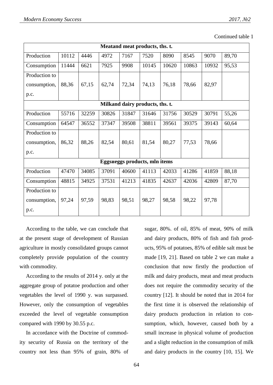Continued table 1

| Meatand meat products, ths. t.  |       |       |       |       |                               |       |       |       |       |  |
|---------------------------------|-------|-------|-------|-------|-------------------------------|-------|-------|-------|-------|--|
| Production                      | 10112 | 4446  | 4972  | 7167  | 7520                          | 8090  | 8545  | 9070  | 89,70 |  |
| Consumption                     | 11444 | 6621  | 7925  | 9908  | 10145                         | 10620 | 10863 | 10932 | 95,53 |  |
| Production to                   |       |       |       |       |                               |       |       |       |       |  |
| consumption,                    | 88,36 | 67,15 | 62,74 | 72,34 | 74,13                         | 76,18 | 78,66 | 82,97 |       |  |
| p.c.                            |       |       |       |       |                               |       |       |       |       |  |
| Milkand dairy products, ths. t. |       |       |       |       |                               |       |       |       |       |  |
| Production                      | 55716 | 32259 | 30826 | 31847 | 31646                         | 31756 | 30529 | 30791 | 55,26 |  |
| Consumption                     | 64547 | 36552 | 37347 | 39508 | 38811                         | 39561 | 39375 | 39143 | 60,64 |  |
| Production to                   |       |       |       |       |                               |       |       |       |       |  |
| consumption,                    | 86,32 | 88,26 | 82,54 | 80,61 | 81,54                         | 80,27 | 77,53 | 78,66 |       |  |
| p.c.                            |       |       |       |       |                               |       |       |       |       |  |
|                                 |       |       |       |       | Eggsueggs products, mln items |       |       |       |       |  |
| Production                      | 47470 | 34085 | 37091 | 40600 | 41113                         | 42033 | 41286 | 41859 | 88,18 |  |
| Consumption                     | 48815 | 34925 | 37531 | 41213 | 41835                         | 42637 | 42036 | 42809 | 87,70 |  |
| Production to                   |       |       |       |       |                               |       |       |       |       |  |
| consumption,                    | 97,24 | 97,59 | 98,83 | 98,51 | 98,27                         | 98,58 | 98,22 | 97,78 |       |  |
| p.c.                            |       |       |       |       |                               |       |       |       |       |  |

According to the table, we can conclude that at the present stage of development of Russian agriculture in mostly consolidated groups cannot completely provide population of the country with commodity.

According to the results of 2014 y. only at the aggregate group of potatoe production and other vegetables the level of 1990 y. was surpassed. However, only the consumption of vegetables exceeded the level of vegetable consumption compared with 1990 by 30.55 p.c.

In accordance with the Doctrine of commodity security of Russia on the territory of the country not less than 95% of grain, 80% of sugar, 80%. of oil, 85% of meat, 90% of milk and dairy products, 80% of fish and fish products, 95% of potatoes, 85% of edible salt must be made [19, 21]. Based on table 2 we can make a conclusion that now firstly the production of milk and dairy products, meat and meat products does not require the commodity security of the country [12]. It should be noted that in 2014 for the first time it is observed the relationship of dairy products production in relation to consumption, which, however, caused both by a small increase in physical volume of production and a slight reduction in the consumption of milk and dairy products in the country [10, 15]. We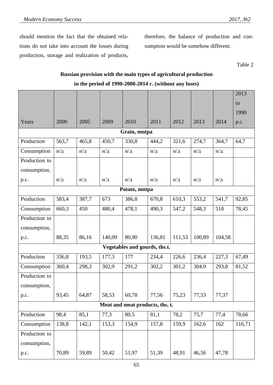should mention the fact that the obtained relations do not take into account the losses during production, storage and realization of products, therefore, the balance of production and consumption would be somehow different.

Table 2

# **Russian provision with the main types of agricultural production in the period of 1990-2000-2014 г. (without any loses)**

|               |                 |                 |                 |                                 |                 |                 |                 |                 | 2013   |  |  |
|---------------|-----------------|-----------------|-----------------|---------------------------------|-----------------|-----------------|-----------------|-----------------|--------|--|--|
|               |                 |                 |                 |                                 |                 |                 |                 |                 | to     |  |  |
|               |                 |                 |                 |                                 |                 |                 |                 |                 | 1990   |  |  |
| Years         | 2000            | 2005            | 2009            | 2010                            | 2011            | 2012            | 2013            | 2014            | p.c.   |  |  |
| Grain, mntpa  |                 |                 |                 |                                 |                 |                 |                 |                 |        |  |  |
| Production    | 563,7           | 465,8           | 450,7           | 330,8                           | 444,2           | 321,6           | 274,7           | 364,7           | 64,7   |  |  |
| Consumption   | $H/\mathcal{I}$ | $H/\mathcal{A}$ | $H/\mathcal{I}$ | $H/\mathcal{A}$                 | $H/\mathcal{I}$ | $H/\mathcal{A}$ | $H/\mathcal{I}$ | н/д             |        |  |  |
| Production to |                 |                 |                 |                                 |                 |                 |                 |                 |        |  |  |
| consumption,  |                 |                 |                 |                                 |                 |                 |                 |                 |        |  |  |
| p.c.          | $H/\mathcal{I}$ | $H/\mathcal{I}$ | $H/\mathcal{A}$ | $H/\mathcal{I}$                 | $H/\mathcal{I}$ | $H/\mathcal{A}$ | $H/\mathcal{I}$ | $H/\mathcal{I}$ |        |  |  |
| Potato, mntpa |                 |                 |                 |                                 |                 |                 |                 |                 |        |  |  |
| Production    | 583,4           | 387,7           | 673             | 386,8                           | 670,8           | 610,3           | 553,2           | 541,7           | 92,85  |  |  |
| Consumption   | 660,3           | 450             | 480,4           | 478,1                           | 490,3           | 547,2           | 548,3           | 518             | 78,45  |  |  |
| Production to |                 |                 |                 |                                 |                 |                 |                 |                 |        |  |  |
| consumption,  |                 |                 |                 |                                 |                 |                 |                 |                 |        |  |  |
| p.c.          | 88,35           | 86,16           | 140,09          | 80,90                           | 136,81          | 111,53          | 100,89          | 104,58          |        |  |  |
|               |                 |                 |                 | Vegetables and gourds, ths.t.   |                 |                 |                 |                 |        |  |  |
| Production    | 336,8           | 193,5           | 177,3           | 177                             | 234,4           | 226,6           | 236,4           | 227,3           | 67,49  |  |  |
| Consumption   | 360,4           | 298,3           | 302,9           | 291,2                           | 302,2           | 301,2           | 304,9           | 293,8           | 81,52  |  |  |
| Production to |                 |                 |                 |                                 |                 |                 |                 |                 |        |  |  |
| consumption,  |                 |                 |                 |                                 |                 |                 |                 |                 |        |  |  |
| p.c.          | 93,45           | 64,87           | 58,53           | 60,78                           | 77,56           | 75,23           | 77,53           | 77,37           |        |  |  |
|               |                 |                 |                 | Meat and meat products, ths. t. |                 |                 |                 |                 |        |  |  |
| Production    | 98,4            | 85,1            | 77,3            | 80,5                            | 81,1            | 78,2            | 75,7            | 77,4            | 78,66  |  |  |
| Consumption   | 138,8           | 142,1           | 153,3           | 154,9                           | 157,8           | 159,9           | 162,6           | 162             | 116,71 |  |  |
| Production to |                 |                 |                 |                                 |                 |                 |                 |                 |        |  |  |
| consumption,  |                 |                 |                 |                                 |                 |                 |                 |                 |        |  |  |
| p.c.          | 70,89           | 59,89           | 50,42           | 51,97                           | 51,39           | 48,91           | 46,56           | 47,78           |        |  |  |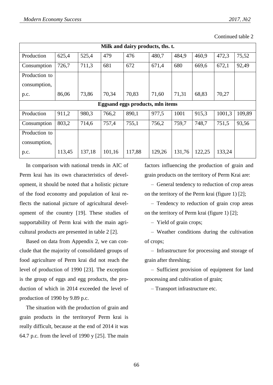| Milk and dairy products, ths. t. |        |        |        |                                  |        |        |        |        |        |  |  |
|----------------------------------|--------|--------|--------|----------------------------------|--------|--------|--------|--------|--------|--|--|
| Production                       | 625,4  | 525,4  | 479    | 476                              | 480,7  | 484,9  | 460,9  | 472,3  | 75,52  |  |  |
| Consumption                      | 726,7  | 711,3  | 681    | 672                              | 671,4  | 680    | 669,6  | 672,1  | 92,49  |  |  |
| Production to                    |        |        |        |                                  |        |        |        |        |        |  |  |
| consumption,                     |        |        |        |                                  |        |        |        |        |        |  |  |
| p.c.                             | 86,06  | 73,86  | 70,34  | 70,83                            | 71,60  | 71,31  | 68,83  | 70,27  |        |  |  |
|                                  |        |        |        | Eggsand eggs products, mln items |        |        |        |        |        |  |  |
| Production                       | 911,2  | 980,3  | 766,2  | 890,1                            | 977,5  | 1001   | 915,3  | 1001,3 | 109,89 |  |  |
| Consumption                      | 803,2  | 714,6  | 757,4  | 755,1                            | 756,2  | 759.7  | 748,7  | 751,5  | 93,56  |  |  |
| Production to                    |        |        |        |                                  |        |        |        |        |        |  |  |
| consumption,                     |        |        |        |                                  |        |        |        |        |        |  |  |
| p.c.                             | 113,45 | 137,18 | 101,16 | 117,88                           | 129,26 | 131,76 | 122,25 | 133,24 |        |  |  |

Continued table 2

In comparison with national trends in AIC of Perm krai has its own characteristics of development, it should be noted that a holistic picture of the food economy and population of krai reflects the national picture of agricultural development of the country [19]. These studies of supportability of Perm krai with the main agricultural products are presented in table 2 [2].

Based on data from Appendix 2, we can conclude that the majority of consolidated groups of food agriculture of Perm krai did not reach the level of production of 1990 [23]. The exception is the group of eggs and egg products, the production of which in 2014 exceeded the level of production of 1990 by 9.89 p.c.

The situation with the production of grain and grain products in the territoryof Perm krai is really difficult, because at the end of 2014 it was 64.7 p.c. from the level of 1990 y  $[25]$ . The main factors influencing the production of grain and grain products on the territory of Perm Krai are:

– General tendency to reduction of crop areas on the territory of the Perm krai (figure 1) [2];

– Tendency to reduction of grain crop areas on the territory of Perm krai (figure 1) [2];

– Yield of grain crops;

– Weather conditions during the cultivation of crops;

– Infrastructure for processing and storage of grain after threshing;

– Sufficient provision of equipment for land processing and cultivation of grain;

– Transport infrastructure etc.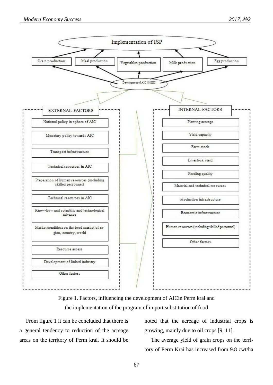

Figure 1. Factors, influencing the development of AICin Perm krai and the implementation of the program of import substitution of food

From figure 1 it can be concluded that there is a general tendency to reduction of the acreage areas on the territory of Perm krai. It should be noted that the acreage of industrial crops is growing, mainly due to oil crops [9, 11].

The average yield of grain crops on the territory of Perm Krai has increased from 9.8 cwt/ha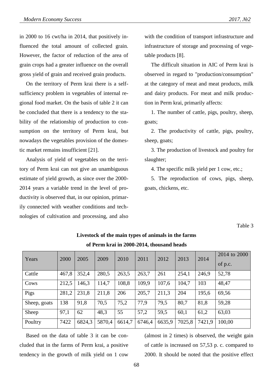in 2000 to 16 cwt/ha in 2014, that positively influenced the total amount of collected grain. However, the factor of reduction of the area of grain crops had a greater influence on the overall gross yield of grain and received grain products.

On the territory of Perm krai there is a selfsufficiency problem in vegetables of internal regional food market. On the basis of table 2 it can be concluded that there is a tendency to the stability of the relationship of production to consumption on the territory of Perm krai, but nowadays the vegetables provision of the domestic market remains insufficient [21].

Analysis of yield of vegetables on the territory of Perm krai can not give an unambiguous estimate of yield growth, as since over the 2000- 2014 years a variable trend in the level of productivity is observed that, in our opinion, primarily connected with weather conditions and technologies of cultivation and processing, and also with the condition of transport infrastructure and infrastructure of storage and processing of vegetable products [8].

The difficult situation in AIC of Perm krai is observed in regard to "production/consumption" at the category of meat and meat products, milk and dairy products. For meat and milk production in Perm krai, primarily affects:

1. The number of cattle, pigs, poultry, sheep, goats;

2. The productivity of cattle, pigs, poultry, sheep, goats;

3. The production of livestock and poultry for slaughter;

4. The specific milk yield per 1 cow, etc.;

5. The reproduction of cows, pigs, sheep, goats, chickens, etc.

Table 3

| Years        | 2000  | 2005   | 2009   | 2010   | 2011   | 2012   | 2013   | 2014   | 2014 to 2000 |
|--------------|-------|--------|--------|--------|--------|--------|--------|--------|--------------|
|              |       |        |        |        |        |        |        |        | of p.c.      |
| Cattle       | 467,8 | 352,4  | 280,5  | 263,5  | 263,7  | 261    | 254,1  | 246,9  | 52,78        |
| Cows         | 212,5 | 146,3  | 114,7  | 108,8  | 109,9  | 107,6  | 104,7  | 103    | 48,47        |
| Pigs         | 281,2 | 231,8  | 211,8  | 206    | 205,7  | 211,3  | 204    | 195,6  | 69,56        |
| Sheep, goats | 138   | 91,8   | 70,5   | 75,2   | 77,9   | 79.5   | 80,7   | 81,8   | 59,28        |
| Sheep        | 97,1  | 62     | 48,3   | 55     | 57,2   | 59.5   | 60,1   | 61,2   | 63,03        |
| Poultry      | 7422  | 6824,3 | 5870,4 | 6614,7 | 6746,4 | 6635,9 | 7025,8 | 7421,9 | 100,00       |

## **Livestock of the main types of animals in the farms of Perm krai in 2000-2014, thousand heads**

Based on the data of table 3 it can be concluded that in the farms of Perm krai, a positive tendency in the growth of milk yield on 1 cow

(almost in 2 times) is observed, the weight gain of cattle is increased on 57,53 p. c. compared to 2000. It should be noted that the positive effect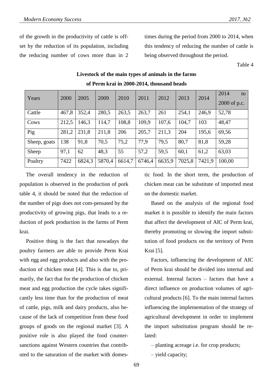of the growth in the productivity of cattle is offset by the reduction of its population, including the reducing number of cows more than in 2 times during the period from 2000 to 2014, when this tendency of reducing the number of cattle is being observed throughout the period.

Table 4

| Years        | 2000  | 2005   | 2009   | 2010   | 2011   | 2012   | 2013   | 2014   | 2014<br>to<br>2000 of p.c. |
|--------------|-------|--------|--------|--------|--------|--------|--------|--------|----------------------------|
| Cattle       | 467,8 | 352,4  | 280,5  | 263,5  | 263,7  | 261    | 254,1  | 246,9  | 52,78                      |
| Cows         | 212,5 | 146,3  | 114,7  | 108,8  | 109,9  | 107,6  | 104,7  | 103    | 48,47                      |
| Pig          | 281,2 | 231,8  | 211,8  | 206    | 205,7  | 211,3  | 204    | 195,6  | 69,56                      |
| Sheep, goats | 138   | 91,8   | 70,5   | 75,2   | 77,9   | 79,5   | 80,7   | 81,8   | 59,28                      |
| Sheep        | 97,1  | 62     | 48.3   | 55     | 57,2   | 59.5   | 60,1   | 61,2   | 63,03                      |
| Poaltry      | 7422  | 6824,3 | 5870,4 | 6614,7 | 6746,4 | 6635,9 | 7025,8 | 7421,9 | 100,00                     |

# **Livestock of the main types of animals in the farms of Perm krai in 2000-2014, thousand heads**

The overall tendency in the reduction of population is observed in the production of pork table 4, it should be noted that the reduction of the number of pigs does not com-pensated by the productivity of growing pigs, that leads to a reduction of pork production in the farms of Perm krai.

Positive thing is the fact that nowadays the poultry farmers are able to provide Perm Krai with egg and egg products and also with the production of chicken meat [4]. This is due to, primarily, the fact that for the production of chicken meat and egg production the cycle takes significantly less time than for the production of meat of cattle, pigs, milk and dairy products, also because of the lack of competition from these food groups of goods on the regional market [3]. A positive role is also played the food countersanctions against Western countries that contributed to the saturation of the market with domestic food. In the short term, the production of chicken meat can be substitute of imported meat on the domestic market.

Based on the analysis of the regional food market it is possible to identify the main factors that affect the development of AIC of Perm krai, thereby promoting or slowing the import substitution of food products on the territory of Perm Krai [5].

Factors, influencing the development of AIC of Perm krai should be divided into internal and external. Internal factors – factors that have a direct influence on production volumes of agricultural products [6]. To the main internal factors influencing the implementation of the strategy of agricultural development in order to implement the import substitution program should be related:

– planting acreage i.e. for crop products;

– yield capacity;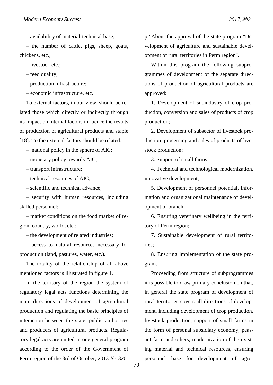– availability of material-technical base;

– the number of cattle, pigs, sheep, goats, chickens, etc.;

– livestock etc.;

– feed quality;

– production infrastructure;

– economic infrastructure, etc.

To external factors, in our view, should be related those which directly or indirectly through its impact on internal factors influence the results of production of agricultural products and staple [18]. To the external factors should be related:

– national policy in the sphere of AIC;

– monetary policy towards AIC;

– transport infrastructure;

– technical resources of AIC;

– scientific and technical advance;

– security with human resources, including skilled personnel;

– market conditions on the food market of region, country, world, etc.;

– the development of related industries;

– access to natural resources necessary for production (land, pastures, water, etc.).

The totality of the relationship of all above mentioned factors is illustrated in figure 1.

In the territory of the region the system of regulatory legal acts functions determining the main directions of development of agricultural production and regulating the basic principles of interaction between the state, public authorities and producers of agricultural products. Regulatory legal acts are united in one general program according to the order of the Government of Perm region of the 3rd of October, 2013 №1320p "About the approval of the state program "Development of agriculture and sustainable development of rural territories in Perm region".

Within this program the following subprogrammes of development of the separate directions of production of agricultural products are approved:

1. Development of subindustry of crop production, conversion and sales of products of crop production;

2. Development of subsector of livestock production, processing and sales of products of livestock production;

3. Support of small farms;

4. Technical and technological modernization, innovative development;

5. Development of personnel potential, information and organizational maintenance of development of branch;

6. Ensuring veterinary wellbeing in the territory of Perm region;

7. Sustainable development of rural territories;

8. Ensuring implementation of the state program.

Proceeding from structure of subprogrammes it is possible to draw primary conclusion on that, in general the state program of development of rural territories covers all directions of development, including development of crop production, livestock production, support of small farms in the form of personal subsidiary economy, peasant farm and others, modernization of the existing material and technical resources, ensuring personnel base for development of agro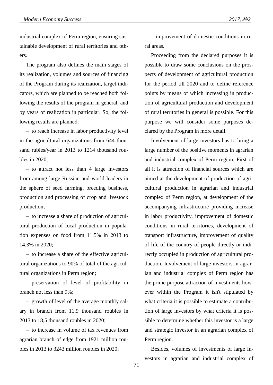industrial complex of Perm region, ensuring sustainable development of rural territories and others.

The program also defines the main stages of its realization, volumes and sources of financing of the Program during its realization, target indicators, which are planned to be reached both following the results of the program in general, and by years of realization in particular. So, the following results are planned:

– to reach increase in labor productivity level in the agricultural organizations from 644 thousand rubles/year in 2013 to 1214 thousand roubles in 2020;

– to attract not less than 4 large investors from among large Russian and world leaders in the sphere of seed farming, breeding business, production and processing of crop and livestock production;

– to increase a share of production of agricultural production of local production in population expenses on food from 11.5% in 2013 to 14,3% in 2020;

– to increase a share of the effective agricultural organizations to 90% of total of the agricultural organizations in Perm region;

– preservation of level of profitability in branch not less than 9%;

– growth of level of the average monthly salary in branch from 11,9 thousand roubles in 2013 to 18,5 thousand roubles in 2020;

– to increase in volume of tax revenues from agrarian branch of edge from 1921 million roubles in 2013 to 3243 million roubles in 2020;

– improvement of domestic conditions in rural areas.

Proceeding from the declared purposes it is possible to draw some conclusions on the prospects of development of agricultural production for the period till 2020 and to define reference points by means of which increasing in production of agricultural production and development of rural territories in general is possible. For this purpose we will consider some purposes declared by the Program in more detail.

Involvement of large investors has to bring a large number of the positive moments in agrarian and industrial complex of Perm region. First of all it is attraction of financial sources which are aimed at the development of production of agricultural production in agrarian and industrial complex of Perm region, at development of the accompanying infrastructure providing increase in labor productivity, improvement of domestic conditions in rural territories, development of transport infrastructure, improvement of quality of life of the country of people directly or indirectly occupied in production of agricultural production. Involvement of large investors in agrarian and industrial complex of Perm region has the prime purpose attraction of investments however within the Program it isn't stipulated by what criteria it is possible to estimate a contribution of large investors by what criteria it is possible to determine whether this investor is a large and strategic investor in an agrarian complex of Perm region.

Besides, volumes of investments of large investors in agrarian and industrial complex of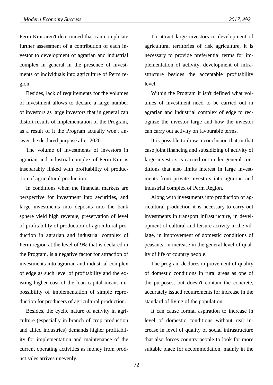Perm Krai aren't determined that can complicate further assessment of a contribution of each investor to development of agrarian and industrial complex in general in the presence of investments of individuals into agriculture of Perm region.

Besides, lack of requirements for the volumes of investment allows to declare a large number of investors as large investors that in general can distort results of implementation of the Program, as a result of it the Program actually won't answer the declared purpose after 2020.

The volume of investments of investors in agrarian and industrial complex of Perm Krai is inseparably linked with profitability of production of agricultural production.

In conditions when the financial markets are perspective for investment into securities, and large investments into deposits into the bank sphere yield high revenue, preservation of level of profitability of production of agricultural production in agrarian and industrial complex of Perm region at the level of 9% that is declared in the Program, is a negative factor for attraction of investments into agrarian and industrial complex of edge as such level of profitability and the existing higher cost of the loan capital means impossibility of implementation of simple reproduction for producers of agricultural production.

Besides, the cyclic nature of activity in agriculture (especially in branch of crop production and allied industries) demands higher profitability for implementation and maintenance of the current operating activities as money from product sales arrives unevenly.

To attract large investors to development of agricultural territories of risk agriculture, it is necessary to provide preferential terms for implementation of activity, development of infrastructure besides the acceptable profitability level.

Within the Program it isn't defined what volumes of investment need to be carried out in agrarian and industrial complex of edge to recognize the investor large and how the investor can carry out activity on favourable terms.

It is possible to draw a conclusion that in that case joint financing and subsidizing of activity of large investors is carried out under general conditions that also limits interest in large investments from private investors into agrarian and industrial complex of Perm Region.

Along with investments into production of agricultural production it is necessary to carry out investments in transport infrastructure, in development of cultural and leisure activity in the village, in improvement of domestic conditions of peasants, in increase in the general level of quality of life of country people.

The program declares improvement of quality of domestic conditions in rural areas as one of the purposes, but doesn't contain the concrete, accurately issued requirements for increase in the standard of living of the population.

It can cause formal aspiration to increase in level of domestic conditions without real increase in level of quality of social infrastructure that also forces country people to look for more suitable place for accommodation, mainly in the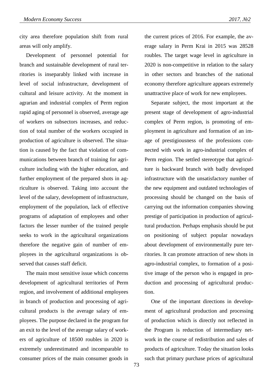city area therefore population shift from rural areas will only amplify.

Development of personnel potential for branch and sustainable development of rural territories is inseparably linked with increase in level of social infrastructure, development of cultural and leisure activity. At the moment in agrarian and industrial complex of Perm region rapid aging of personnel is observed, average age of workers on subsectors increases, and reduction of total number of the workers occupied in production of agriculture is observed. The situation is caused by the fact that violation of communications between branch of training for agriculture including with the higher education, and further employment of the prepared shots in agriculture is observed. Taking into account the level of the salary, development of infrastructure, employment of the population, lack of effective programs of adaptation of employees and other factors the lesser number of the trained people seeks to work in the agricultural organizations therefore the negative gain of number of employees in the agricultural organizations is observed that causes staff deficit.

The main most sensitive issue which concerns development of agricultural territories of Perm region, and involvement of additional employees in branch of production and processing of agricultural products is the average salary of employees. The purpose declared in the program for an exit to the level of the average salary of workers of agriculture of 18500 roubles in 2020 is extremely underestimated and incomparable to consumer prices of the main consumer goods in

the current prices of 2016. For example, the average salary in Perm Krai in 2015 was 28528 roubles. The target wage level in agriculture in 2020 is non-competitive in relation to the salary in other sectors and branches of the national economy therefore agriculture appears extremely unattractive place of work for new employees.

Separate subject, the most important at the present stage of development of agro-industrial complex of Perm region, is promoting of employment in agriculture and formation of an image of prestigiousness of the professions connected with work in agro-industrial complex of Perm region. The settled stereotype that agriculture is backward branch with badly developed infrastructure with the unsatisfactory number of the new equipment and outdated technologies of processing should be changed on the basis of carrying out the information companies showing prestige of participation in production of agricultural production. Perhaps emphasis should be put on positioning of subject popular nowadays about development of environmentally pure territories. It can promote attraction of new shots in agro-industrial complex, to formation of a positive image of the person who is engaged in production and processing of agricultural production.

One of the important directions in development of agricultural production and processing of production which is directly not reflected in the Program is reduction of intermediary network in the course of redistribution and sales of products of agriculture. Today the situation looks such that primary purchase prices of agricultural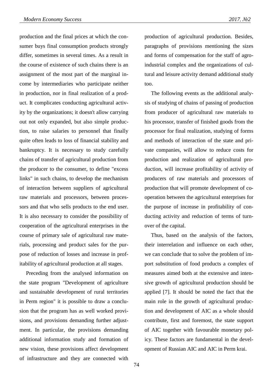production and the final prices at which the consumer buys final consumption products strongly differ, sometimes in several times. As a result in the course of existence of such chains there is an assignment of the most part of the marginal income by intermediaries who participate neither in production, nor in final realization of a product. It complicates conducting agricultural activity by the organizations; it doesn't allow carrying out not only expanded, but also simple production, to raise salaries to personnel that finally quite often leads to loss of financial stability and bankruptcy. It is necessary to study carefully chains of transfer of agricultural production from the producer to the consumer, to define "excess links" in such chains, to develop the mechanism of interaction between suppliers of agricultural raw materials and processors, between processors and that who sells products to the end user. It is also necessary to consider the possibility of cooperation of the agricultural enterprises in the course of primary sale of agricultural raw materials, processing and product sales for the purpose of reduction of losses and increase in profitability of agricultural production at all stages.

Preceding from the analysed information on the state program "Development of agriculture and sustainable development of rural territories in Perm region" it is possible to draw a conclusion that the program has as well worked provisions, and provisions demanding further adjustment. In particular, the provisions demanding additional information study and formation of new vision, these provisions affect development of infrastructure and they are connected with

production of agricultural production. Besides, paragraphs of provisions mentioning the sizes and forms of compensation for the staff of agroindustrial complex and the organizations of cultural and leisure activity demand additional study too.

The following events as the additional analysis of studying of chains of passing of production from producer of agricultural raw materials to his processor, transfer of finished goods from the processor for final realization, studying of forms and methods of interaction of the state and private companies, will allow to reduce costs for production and realization of agricultural production, will increase profitability of activity of producers of raw materials and processors of production that will promote development of cooperation between the agricultural enterprises for the purpose of increase in profitability of conducting activity and reduction of terms of turnover of the capital.

Thus, based on the analysis of the factors, their interrelation and influence on each other, we can conclude that to solve the problem of import substitution of food products a complex of measures aimed both at the extensive and intensive growth of agricultural production should be applied [7]. It should be noted the fact that the main role in the growth of agricultural production and development of AIC as a whole should contribute, first and foremost, the state support of AIC together with favourable monetary policy. These factors are fundamental in the development of Russian AIC and AIC in Perm krai.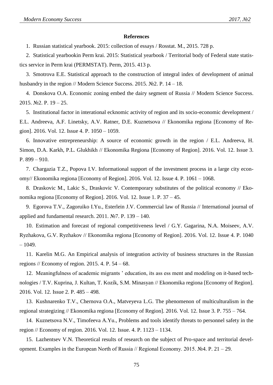## **References**

1. Russian statistical yearbook. 2015: collection of essays / Rosstat. M., 2015. 728 p.

2. Statistical yearbookin Perm krai. 2015: Statistical yearbook / Territorial body of Federal state statistics service in Perm krai (PERMSTAT). Perm, 2015. 413 p.

3. Smotrova E.E. Statistical approach to the construction of integral index of development of animal husbandry in the region // Modern Science Success. 2015. №2. P. 14 – 18.

4. Donskova O.A. Economic zoning embed the dairy segment of Russia // Modern Science Success. 2015. №2. P. 19 – 25.

5. Institutional factor in interational ecknomic activity of region and its socio-economic development / E.L. Andreeva, A.F. Linetsky, A.V. Ratner, D.E. Kuznetsova // Ekonomika regiona [Economy of Region]. 2016. Vol. 12. Issue 4. P. 1050 – 1059.

6. Innovative entrepreneurship: A source of economic growth in the region / E.L. Andreeva, H. Simon, D.A. Karkh, P.L. Glukhikh // Ekonomika Regiona [Economy of Region]. 2016. Vol. 12. Issue 3. P. 899 – 910.

7. Chargazia T.Z., Popova I.V. Informational support of the investment process in a large city economy// Ekonomika regiona [Economy of Region]. 2016. Vol. 12. Issue 4. P. 1061 – 1068.

8. Draskovic M., Lakic S., Draskovic V. Contemporary substitutes of the political economy // Ekonomika regiona [Economy of Region]. 2016. Vol. 12. Issue 1. P. 37 – 45.

9. Egorova T.V., Zagoruiko I.Yu., Esterlein J.V. Commercial law of Russia // International journal of applied and fundamental research. 2011. №7. P. 139 – 140.

10. Estimation and forecast of regional competitiveness level / G.Y. Gagarina, N.A. Moiseev, A.V. Ryzhakova, G.V. Ryzhakov // Ekonomika regiona [Economy of Region]. 2016. Vol. 12. Issue 4. P. 1040  $-1049.$ 

11. Karelin M.G. An Empirical analysis of integration activity of business structures in the Russian regions // Economy of region. 2015. 4. P.  $54 - 68$ .

12. Meaningfulness of academic migrants ' education, its ass ess ment and modeling on it-based technologies / T.V. Kuprina, J. Kultan, T. Kozík, S.M. Minasyan // Ekonomika regiona [Economy of Region]. 2016. Vol. 12. Issue 2. P. 485 – 498.

13. Kushnarenko T.V., Chernova O.A., Matveyeva L.G. The phenomenon of multiculturalism in the regional strategizing // Ekonomika regiona [Economy of Region]. 2016. Vol. 12. Issue 3. P. 755 – 764.

14. Kuznetsova N.V., Timofeeva A.Yu., Problems and tools identify threats to personnel safety in the region // Economy of region. 2016. Vol. 12. Issue. 4. P. 1123 – 1134.

15. Lazhentsev V.N. Theoretical results of research on the subject of Pro-space and territorial development. Examples in the European North of Russia // Regional Economy. 2015. №4. P. 21 – 29.